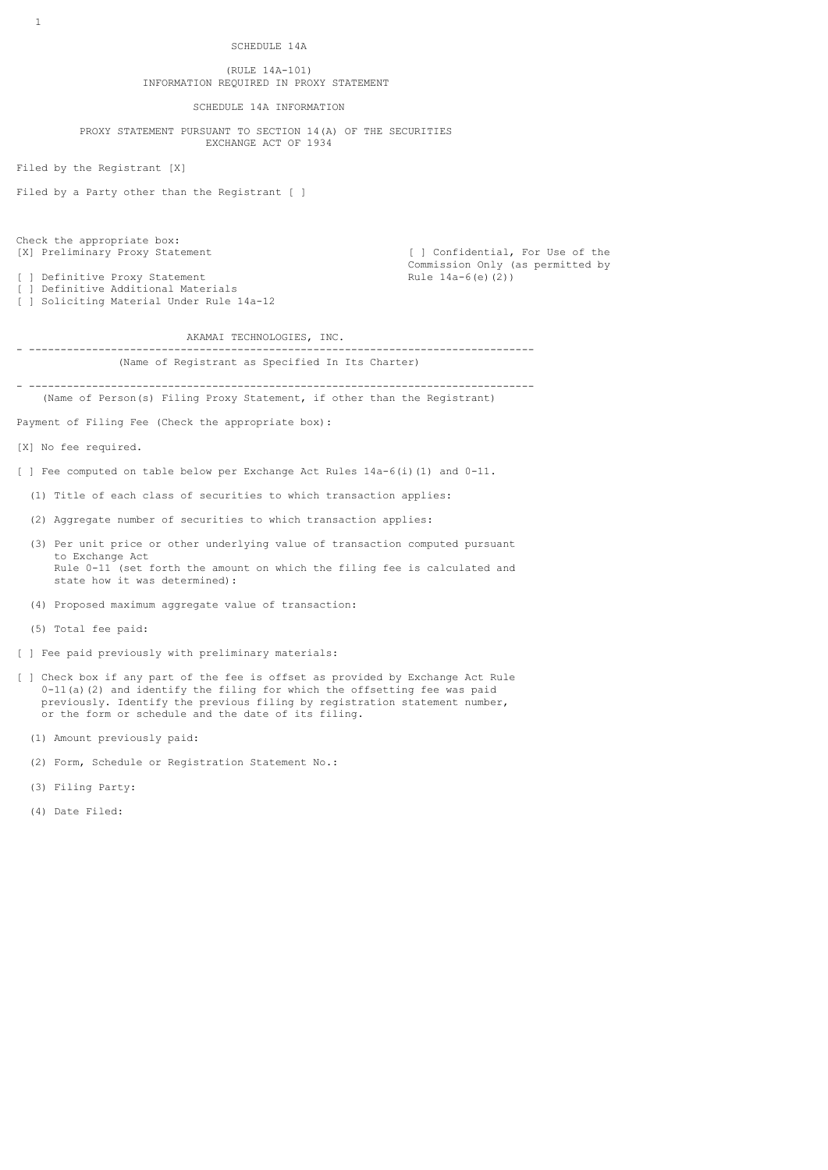# (RULE 14A-101) INFORMATION REQUIRED IN PROXY STATEMENT

SCHEDULE 14A INFORMATION

 PROXY STATEMENT PURSUANT TO SECTION 14(A) OF THE SECURITIES EXCHANGE ACT OF 1934

Filed by the Registrant [X]

Filed by a Party other than the Registrant [ ]

Check the appropriate box:<br>[X] Preliminary Proxy Statement

[ ] Definitive Proxy Statement

[ ] Definitive Additional Materials [ ] Soliciting Material Under Rule 14a-12

[ ] Confidential, For Use of the Commission Only (as permitted by<br>Rule  $14a-6(e)$  (2))

AKAMAI TECHNOLOGIES, INC.

### - -------------------------------------------------------------------------------- (Name of Registrant as Specified In Its Charter)

- -------------------------------------------------------------------------------- (Name of Person(s) Filing Proxy Statement, if other than the Registrant)

Payment of Filing Fee (Check the appropriate box):

[X] No fee required.

[ ] Fee computed on table below per Exchange Act Rules  $14a-6$ (i)(1) and  $0-11$ .

- (1) Title of each class of securities to which transaction applies:
- (2) Aggregate number of securities to which transaction applies:
- (3) Per unit price or other underlying value of transaction computed pursuant to Exchange Act Rule 0-11 (set forth the amount on which the filing fee is calculated and state how it was determined):
- (4) Proposed maximum aggregate value of transaction:
- (5) Total fee paid:
- [ ] Fee paid previously with preliminary materials:
- [ ] Check box if any part of the fee is offset as provided by Exchange Act Rule 0-11(a)(2) and identify the filing for which the offsetting fee was paid previously. Identify the previous filing by registration statement number, or the form or schedule and the date of its filing.
	- (1) Amount previously paid:
	- (2) Form, Schedule or Registration Statement No.:
	- (3) Filing Party:
	- (4) Date Filed: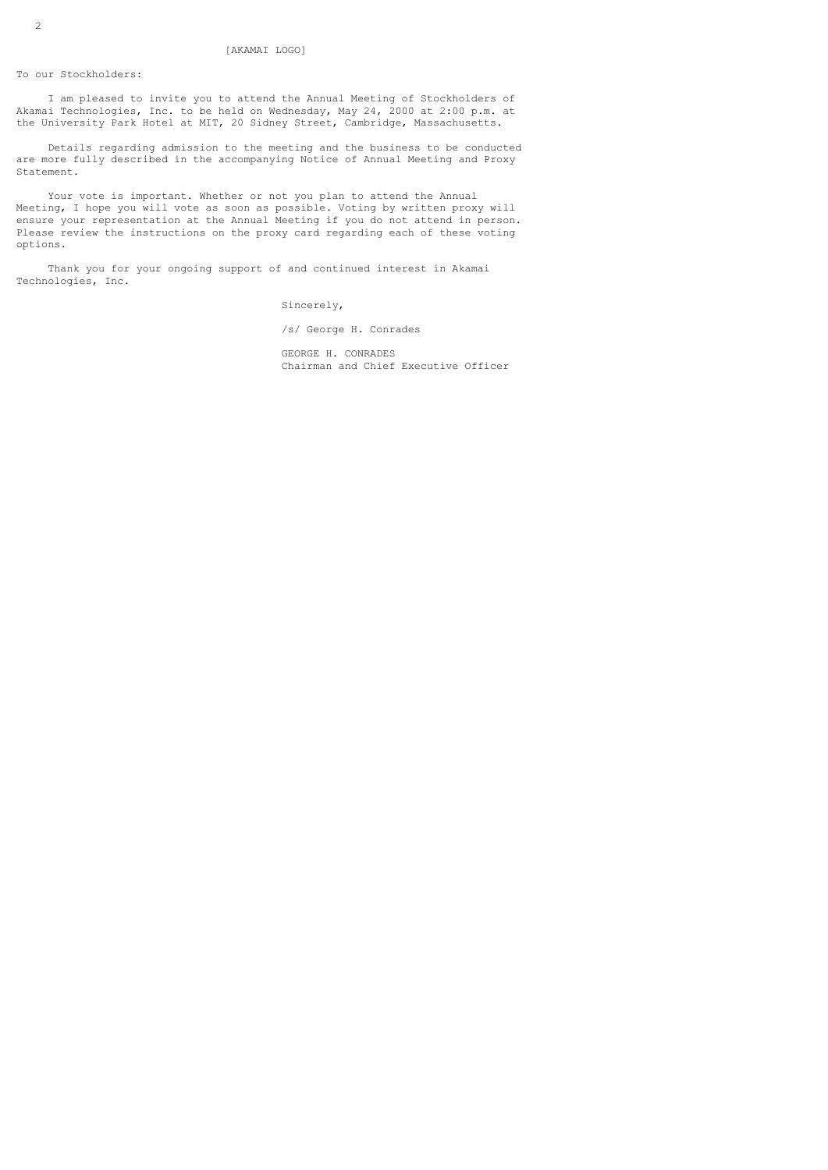To our Stockholders:

 I am pleased to invite you to attend the Annual Meeting of Stockholders of Akamai Technologies, Inc. to be held on Wednesday, May 24, 2000 at 2:00 p.m. at the University Park Hotel at MIT, 20 Sidney Street, Cambridge, Massachusetts.

 Details regarding admission to the meeting and the business to be conducted are more fully described in the accompanying Notice of Annual Meeting and Proxy Statement.

 Your vote is important. Whether or not you plan to attend the Annual Meeting, I hope you will vote as soon as possible. Voting by written proxy will ensure your representation at the Annual Meeting if you do not attend in person. Please review the instructions on the proxy card regarding each of these voting options.

 Thank you for your ongoing support of and continued interest in Akamai Technologies, Inc.

Sincerely,

/s/ George H. Conrades

 GEORGE H. CONRADES Chairman and Chief Executive Officer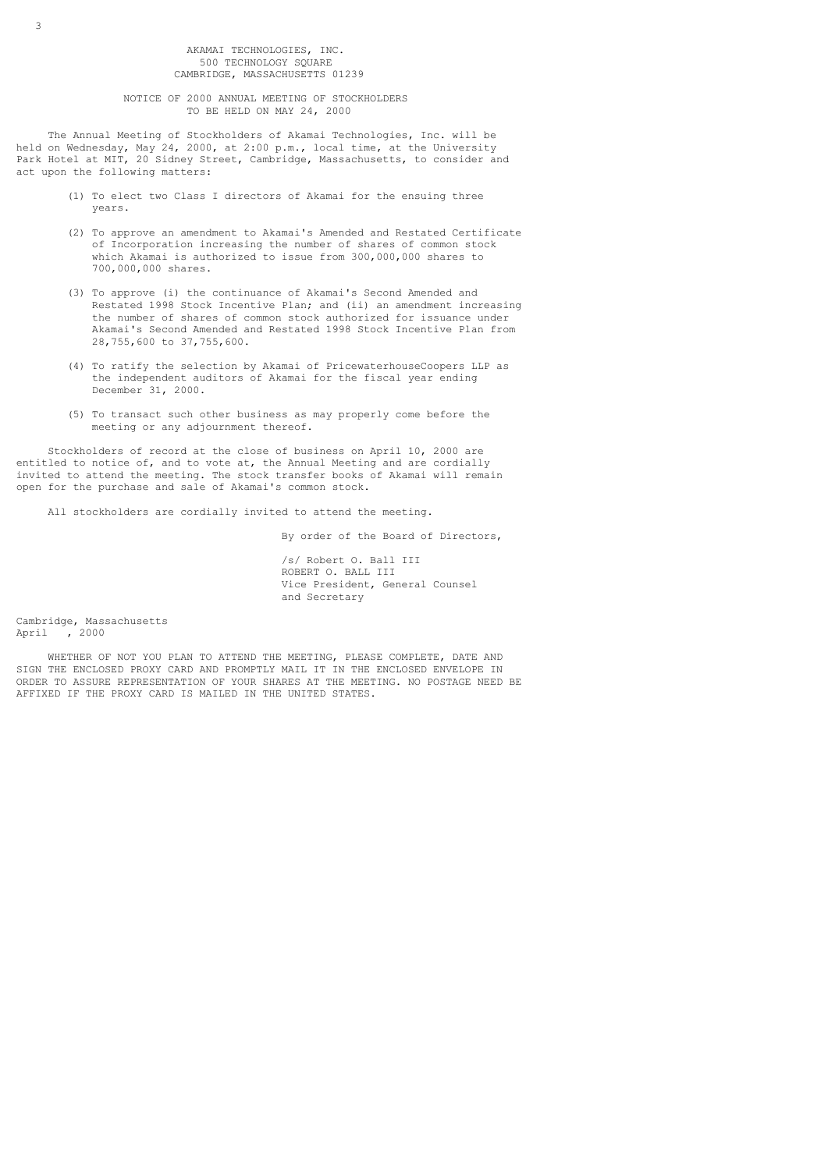AKAMAI TECHNOLOGIES, INC. 500 TECHNOLOGY SQUARE CAMBRIDGE, MASSACHUSETTS 01239

 NOTICE OF 2000 ANNUAL MEETING OF STOCKHOLDERS TO BE HELD ON MAY 24, 2000

 The Annual Meeting of Stockholders of Akamai Technologies, Inc. will be held on Wednesday, May 24, 2000, at 2:00 p.m., local time, at the University Park Hotel at MIT, 20 Sidney Street, Cambridge, Massachusetts, to consider and act upon the following matters:

- (1) To elect two Class I directors of Akamai for the ensuing three years.
- (2) To approve an amendment to Akamai's Amended and Restated Certificate of Incorporation increasing the number of shares of common stock which Akamai is authorized to issue from 300,000,000 shares to 700,000,000 shares.
- (3) To approve (i) the continuance of Akamai's Second Amended and Restated 1998 Stock Incentive Plan; and (ii) an amendment increasing the number of shares of common stock authorized for issuance under Akamai's Second Amended and Restated 1998 Stock Incentive Plan from 28,755,600 to 37,755,600.
- (4) To ratify the selection by Akamai of PricewaterhouseCoopers LLP as the independent auditors of Akamai for the fiscal year ending December 31, 2000.
- (5) To transact such other business as may properly come before the meeting or any adjournment thereof.

 Stockholders of record at the close of business on April 10, 2000 are entitled to notice of, and to vote at, the Annual Meeting and are cordially invited to attend the meeting. The stock transfer books of Akamai will remain open for the purchase and sale of Akamai's common stock.

All stockholders are cordially invited to attend the meeting.

By order of the Board of Directors,

 /s/ Robert O. Ball III ROBERT O. BALL III Vice President, General Counsel and Secretary

Cambridge, Massachusetts April , 2000

 WHETHER OF NOT YOU PLAN TO ATTEND THE MEETING, PLEASE COMPLETE, DATE AND SIGN THE ENCLOSED PROXY CARD AND PROMPTLY MAIL IT IN THE ENCLOSED ENVELOPE IN ORDER TO ASSURE REPRESENTATION OF YOUR SHARES AT THE MEETING. NO POSTAGE NEED BE AFFIXED IF THE PROXY CARD IS MAILED IN THE UNITED STATES.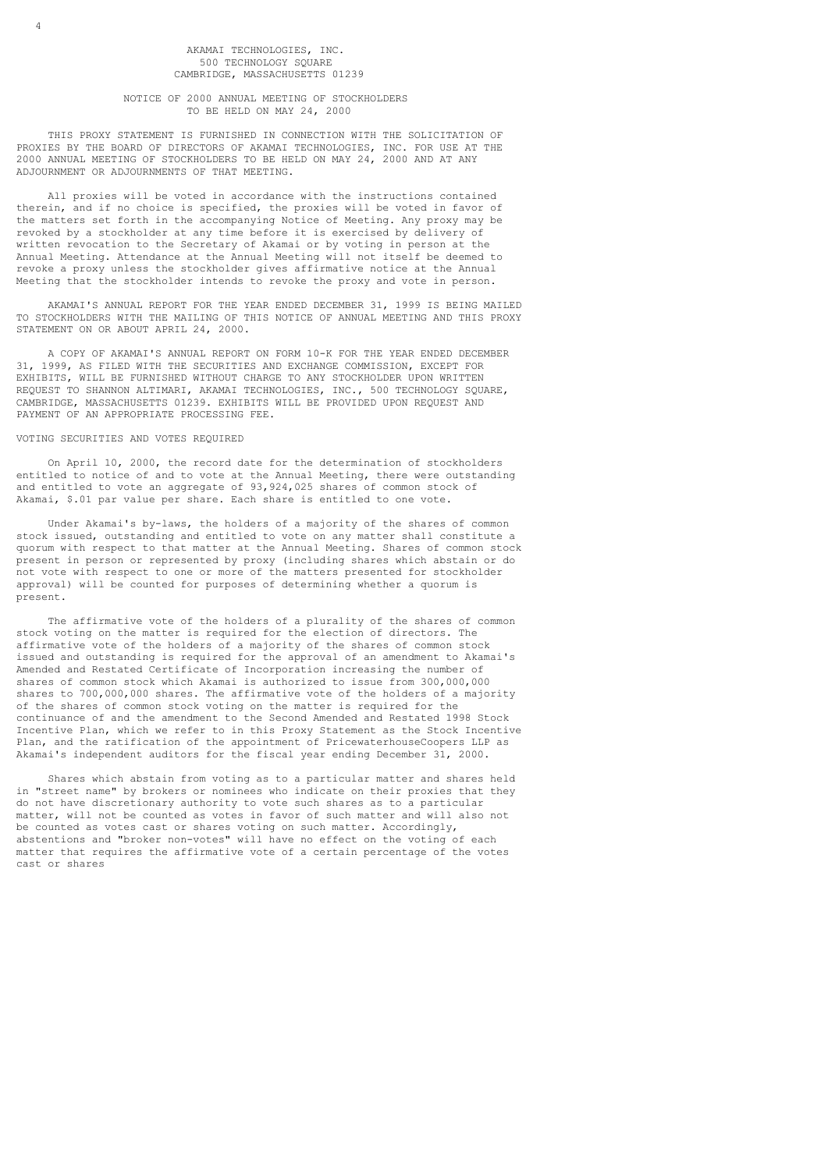## AKAMAI TECHNOLOGIES, INC. 500 TECHNOLOGY SQUARE CAMBRIDGE, MASSACHUSETTS 01239

# NOTICE OF 2000 ANNUAL MEETING OF STOCKHOLDERS TO BE HELD ON MAY 24, 2000

 THIS PROXY STATEMENT IS FURNISHED IN CONNECTION WITH THE SOLICITATION OF PROXIES BY THE BOARD OF DIRECTORS OF AKAMAI TECHNOLOGIES, INC. FOR USE AT THE 2000 ANNUAL MEETING OF STOCKHOLDERS TO BE HELD ON MAY 24, 2000 AND AT ANY ADJOURNMENT OR ADJOURNMENTS OF THAT MEETING.

 All proxies will be voted in accordance with the instructions contained therein, and if no choice is specified, the proxies will be voted in favor of the matters set forth in the accompanying Notice of Meeting. Any proxy may be revoked by a stockholder at any time before it is exercised by delivery of written revocation to the Secretary of Akamai or by voting in person at the Annual Meeting. Attendance at the Annual Meeting will not itself be deemed to revoke a proxy unless the stockholder gives affirmative notice at the Annual Meeting that the stockholder intends to revoke the proxy and vote in person.

 AKAMAI'S ANNUAL REPORT FOR THE YEAR ENDED DECEMBER 31, 1999 IS BEING MAILED TO STOCKHOLDERS WITH THE MAILING OF THIS NOTICE OF ANNUAL MEETING AND THIS PROXY STATEMENT ON OR ABOUT APRIL 24, 2000.

 A COPY OF AKAMAI'S ANNUAL REPORT ON FORM 10-K FOR THE YEAR ENDED DECEMBER 31, 1999, AS FILED WITH THE SECURITIES AND EXCHANGE COMMISSION, EXCEPT FOR EXHIBITS, WILL BE FURNISHED WITHOUT CHARGE TO ANY STOCKHOLDER UPON WRITTEN REQUEST TO SHANNON ALTIMARI, AKAMAI TECHNOLOGIES, INC., 500 TECHNOLOGY SQUARE, CAMBRIDGE, MASSACHUSETTS 01239. EXHIBITS WILL BE PROVIDED UPON REQUEST AND PAYMENT OF AN APPROPRIATE PROCESSING FEE.

### VOTING SECURITIES AND VOTES REQUIRED

4

 On April 10, 2000, the record date for the determination of stockholders entitled to notice of and to vote at the Annual Meeting, there were outstanding and entitled to vote an aggregate of 93,924,025 shares of common stock of Akamai, \$.01 par value per share. Each share is entitled to one vote.

 Under Akamai's by-laws, the holders of a majority of the shares of common stock issued, outstanding and entitled to vote on any matter shall constitute a quorum with respect to that matter at the Annual Meeting. Shares of common stock present in person or represented by proxy (including shares which abstain or do not vote with respect to one or more of the matters presented for stockholder approval) will be counted for purposes of determining whether a quorum is present.

 The affirmative vote of the holders of a plurality of the shares of common stock voting on the matter is required for the election of directors. The affirmative vote of the holders of a majority of the shares of common stock issued and outstanding is required for the approval of an amendment to Akamai's Amended and Restated Certificate of Incorporation increasing the number of shares of common stock which Akamai is authorized to issue from 300,000,000 shares to 700,000,000 shares. The affirmative vote of the holders of a majority of the shares of common stock voting on the matter is required for the continuance of and the amendment to the Second Amended and Restated 1998 Stock Incentive Plan, which we refer to in this Proxy Statement as the Stock Incentive Plan, and the ratification of the appointment of PricewaterhouseCoopers LLP as Akamai's independent auditors for the fiscal year ending December 31, 2000.

 Shares which abstain from voting as to a particular matter and shares held in "street name" by brokers or nominees who indicate on their proxies that they do not have discretionary authority to vote such shares as to a particular matter, will not be counted as votes in favor of such matter and will also not be counted as votes cast or shares voting on such matter. Accordingly, abstentions and "broker non-votes" will have no effect on the voting of each matter that requires the affirmative vote of a certain percentage of the votes cast or shares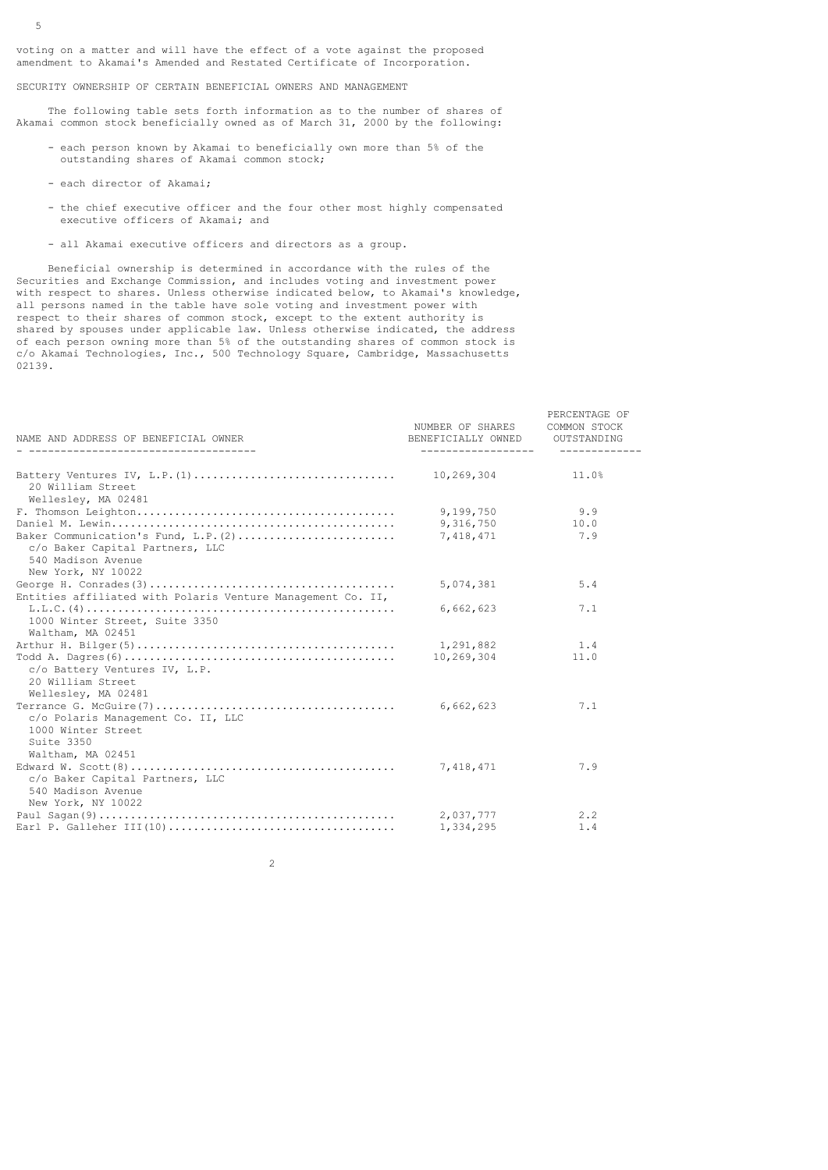voting on a matter and will have the effect of a vote against the proposed amendment to Akamai's Amended and Restated Certificate of Incorporation.

SECURITY OWNERSHIP OF CERTAIN BENEFICIAL OWNERS AND MANAGEMENT

 The following table sets forth information as to the number of shares of Akamai common stock beneficially owned as of March 31, 2000 by the following:

- each person known by Akamai to beneficially own more than 5% of the outstanding shares of Akamai common stock;
- each director of Akamai;

5

- the chief executive officer and the four other most highly compensated executive officers of Akamai; and
- all Akamai executive officers and directors as a group.

 Beneficial ownership is determined in accordance with the rules of the Securities and Exchange Commission, and includes voting and investment power with respect to shares. Unless otherwise indicated below, to Akamai's knowledge, all persons named in the table have sole voting and investment power with respect to their shares of common stock, except to the extent authority is shared by spouses under applicable law. Unless otherwise indicated, the address of each person owning more than 5% of the outstanding shares of common stock is c/o Akamai Technologies, Inc., 500 Technology Square, Cambridge, Massachusetts 02139.

| NAME AND ADDRESS OF BENEFICIAL OWNER                        | NUMBER OF SHARES<br>BENEFICIALLY OWNED<br>------------------- | PERCENTAGE OF<br>COMMON STOCK<br>OUTSTANDING |
|-------------------------------------------------------------|---------------------------------------------------------------|----------------------------------------------|
|                                                             | 10,269,304                                                    | 11.0%                                        |
| 20 William Street<br>Wellesley, MA 02481                    |                                                               |                                              |
|                                                             | 9,199,750                                                     | 9.9                                          |
|                                                             | 9,316,750                                                     | 10.0                                         |
| Baker Communication's Fund, L.P. (2)                        | 7,418,471                                                     | 7.9                                          |
| c/o Baker Capital Partners, LLC                             |                                                               |                                              |
| 540 Madison Avenue                                          |                                                               |                                              |
| New York, NY 10022                                          |                                                               |                                              |
|                                                             | 5,074,381                                                     | 5.4                                          |
| Entities affiliated with Polaris Venture Management Co. II, |                                                               |                                              |
|                                                             | 6,662,623                                                     | 7.1                                          |
| 1000 Winter Street, Suite 3350                              |                                                               |                                              |
| Waltham, MA 02451                                           |                                                               |                                              |
|                                                             | 1,291,882                                                     | 1.4                                          |
|                                                             | 10,269,304                                                    | 11.0                                         |
| c/o Battery Ventures IV, L.P.                               |                                                               |                                              |
| 20 William Street                                           |                                                               |                                              |
| Wellesley, MA 02481                                         |                                                               |                                              |
|                                                             | 6,662,623                                                     | 7.1                                          |
| c/o Polaris Management Co. II, LLC                          |                                                               |                                              |
| 1000 Winter Street                                          |                                                               |                                              |
| Suite 3350                                                  |                                                               |                                              |
| Waltham, MA 02451                                           |                                                               |                                              |
|                                                             | 7,418,471                                                     | 7.9                                          |
| c/o Baker Capital Partners, LLC                             |                                                               |                                              |
| 540 Madison Avenue                                          |                                                               |                                              |
| New York, NY 10022                                          |                                                               |                                              |
|                                                             | 2,037,777                                                     | 2.2                                          |
|                                                             | 1,334,295                                                     | 1.4                                          |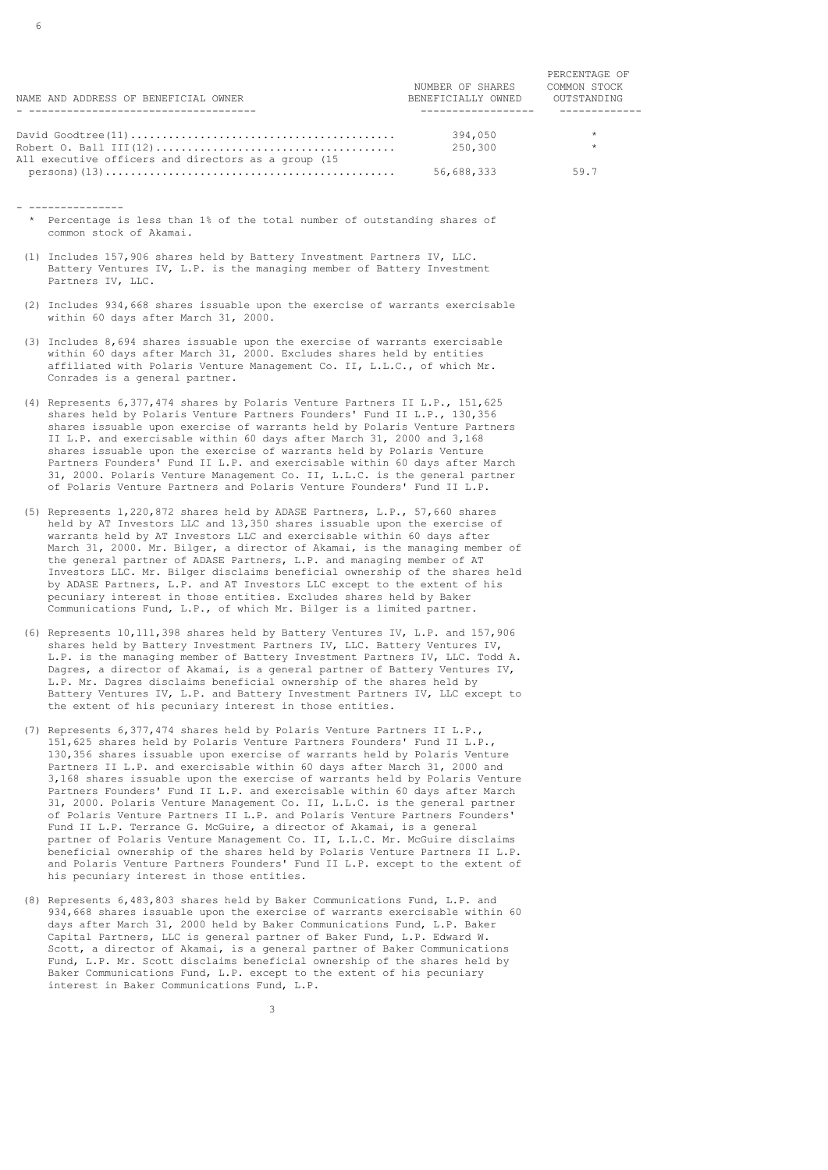| NAME AND ADDRESS OF BENEFICIAL OWNER                | NUMBER OF SHARES<br>BENEFICIALLY OWNED | PERCENTAGE OF<br>COMMON STOCK<br>OUTSTANDING |
|-----------------------------------------------------|----------------------------------------|----------------------------------------------|
|                                                     |                                        |                                              |
|                                                     | 394,050                                | $\star$                                      |
| All executive officers and directors as a group (15 | 250,300                                |                                              |
|                                                     | 56,688,333                             | 59.7                                         |

- --------------- \* Percentage is less than 1% of the total number of outstanding shares of common stock of Akamai.
- (1) Includes 157,906 shares held by Battery Investment Partners IV, LLC. Battery Ventures IV, L.P. is the managing member of Battery Investment Partners IV, LLC.
- (2) Includes 934,668 shares issuable upon the exercise of warrants exercisable within 60 days after March 31, 2000.
- (3) Includes 8,694 shares issuable upon the exercise of warrants exercisable within 60 days after March 31, 2000. Excludes shares held by entities affiliated with Polaris Venture Management Co. II, L.L.C., of which Mr. Conrades is a general partner.
- (4) Represents 6,377,474 shares by Polaris Venture Partners II L.P., 151,625 shares held by Polaris Venture Partners Founders' Fund II L.P., 130,356 shares issuable upon exercise of warrants held by Polaris Venture Partners II L.P. and exercisable within 60 days after March 31, 2000 and 3,168 shares issuable upon the exercise of warrants held by Polaris Venture Partners Founders' Fund II L.P. and exercisable within 60 days after March 31, 2000. Polaris Venture Management Co. II, L.L.C. is the general partner of Polaris Venture Partners and Polaris Venture Founders' Fund II L.P.
- (5) Represents 1,220,872 shares held by ADASE Partners, L.P., 57,660 shares held by AT Investors LLC and 13,350 shares issuable upon the exercise of warrants held by AT Investors LLC and exercisable within 60 days after March 31, 2000. Mr. Bilger, a director of Akamai, is the managing member of the general partner of ADASE Partners, L.P. and managing member of AT Investors LLC. Mr. Bilger disclaims beneficial ownership of the shares held by ADASE Partners, L.P. and AT Investors LLC except to the extent of his pecuniary interest in those entities. Excludes shares held by Baker Communications Fund, L.P., of which Mr. Bilger is a limited partner.
- (6) Represents 10,111,398 shares held by Battery Ventures IV, L.P. and 157,906 shares held by Battery Investment Partners IV, LLC. Battery Ventures IV, L.P. is the managing member of Battery Investment Partners IV, LLC. Todd A. Dagres, a director of Akamai, is a general partner of Battery Ventures IV, L.P. Mr. Dagres disclaims beneficial ownership of the shares held by Battery Ventures IV, L.P. and Battery Investment Partners IV, LLC except to the extent of his pecuniary interest in those entities.
- (7) Represents 6,377,474 shares held by Polaris Venture Partners II L.P., 151,625 shares held by Polaris Venture Partners Founders' Fund II L.P., 130,356 shares issuable upon exercise of warrants held by Polaris Venture Partners II L.P. and exercisable within 60 days after March 31, 2000 and 3,168 shares issuable upon the exercise of warrants held by Polaris Venture Partners Founders' Fund II L.P. and exercisable within 60 days after March 31, 2000. Polaris Venture Management Co. II, L.L.C. is the general partner of Polaris Venture Partners II L.P. and Polaris Venture Partners Founders' Fund II L.P. Terrance G. McGuire, a director of Akamai, is a general partner of Polaris Venture Management Co. II, L.L.C. Mr. McGuire disclaims beneficial ownership of the shares held by Polaris Venture Partners II L.P. and Polaris Venture Partners Founders' Fund II L.P. except to the extent of his pecuniary interest in those entities.
- (8) Represents 6,483,803 shares held by Baker Communications Fund, L.P. and 934,668 shares issuable upon the exercise of warrants exercisable within 60 days after March 31, 2000 held by Baker Communications Fund, L.P. Baker Capital Partners, LLC is general partner of Baker Fund, L.P. Edward W. Scott, a director of Akamai, is a general partner of Baker Communications Fund, L.P. Mr. Scott disclaims beneficial ownership of the shares held by Baker Communications Fund, L.P. except to the extent of his pecuniary interest in Baker Communications Fund, L.P.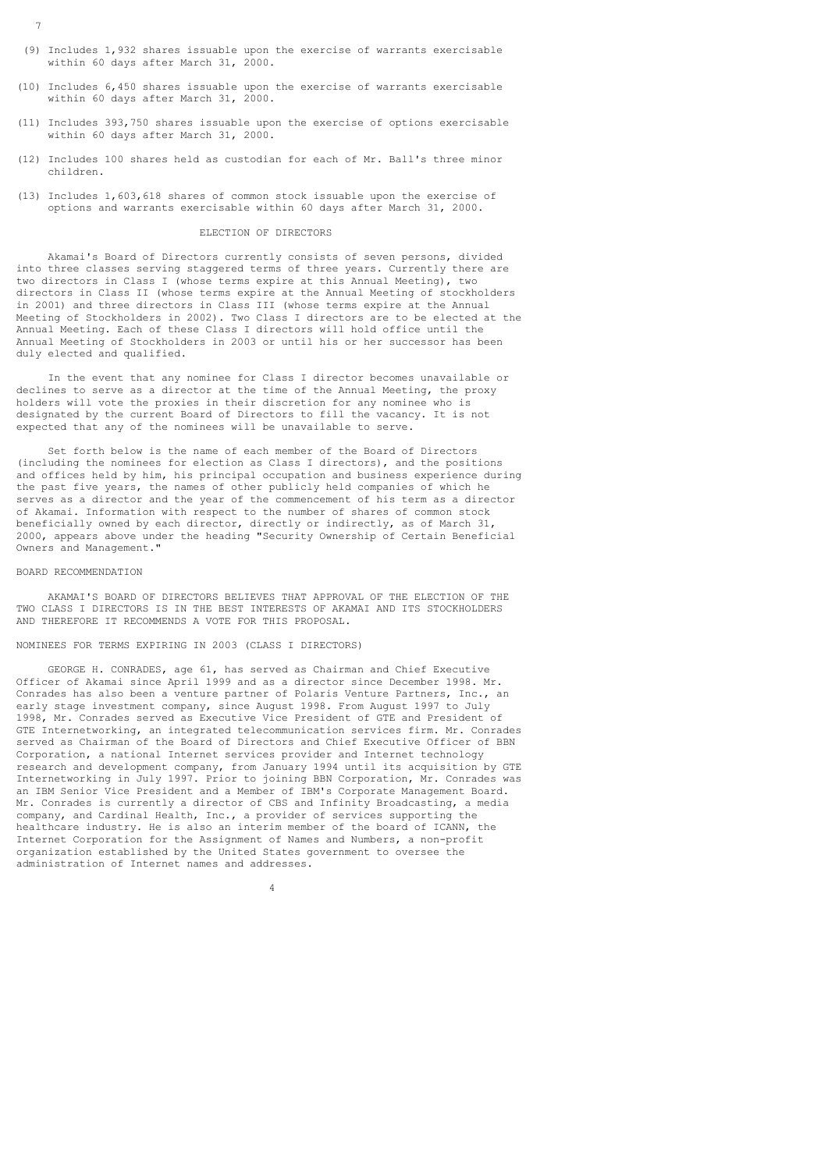- 7
- (9) Includes 1,932 shares issuable upon the exercise of warrants exercisable within 60 days after March 31, 2000.
- (10) Includes 6,450 shares issuable upon the exercise of warrants exercisable within 60 days after March 31, 2000.
- (11) Includes 393,750 shares issuable upon the exercise of options exercisable within 60 days after March 31, 2000.
- (12) Includes 100 shares held as custodian for each of Mr. Ball's three minor children.
- (13) Includes 1,603,618 shares of common stock issuable upon the exercise of options and warrants exercisable within 60 days after March 31, 2000.

### ELECTION OF DIRECTORS

 Akamai's Board of Directors currently consists of seven persons, divided into three classes serving staggered terms of three years. Currently there are two directors in Class I (whose terms expire at this Annual Meeting), two directors in Class II (whose terms expire at the Annual Meeting of stockholders in 2001) and three directors in Class III (whose terms expire at the Annual Meeting of Stockholders in 2002). Two Class I directors are to be elected at the Annual Meeting. Each of these Class I directors will hold office until the Annual Meeting of Stockholders in 2003 or until his or her successor has been duly elected and qualified.

 In the event that any nominee for Class I director becomes unavailable or declines to serve as a director at the time of the Annual Meeting, the proxy holders will vote the proxies in their discretion for any nominee who is designated by the current Board of Directors to fill the vacancy. It is not expected that any of the nominees will be unavailable to serve.

 Set forth below is the name of each member of the Board of Directors (including the nominees for election as Class I directors), and the positions and offices held by him, his principal occupation and business experience during the past five years, the names of other publicly held companies of which he serves as a director and the year of the commencement of his term as a director of Akamai. Information with respect to the number of shares of common stock beneficially owned by each director, directly or indirectly, as of March 31, 2000, appears above under the heading "Security Ownership of Certain Beneficial Owners and Management."

#### BOARD RECOMMENDATION

 AKAMAI'S BOARD OF DIRECTORS BELIEVES THAT APPROVAL OF THE ELECTION OF THE TWO CLASS I DIRECTORS IS IN THE BEST INTERESTS OF AKAMAI AND ITS STOCKHOLDERS AND THEREFORE IT RECOMMENDS A VOTE FOR THIS PROPOSAL.

# NOMINEES FOR TERMS EXPIRING IN 2003 (CLASS I DIRECTORS)

 GEORGE H. CONRADES, age 61, has served as Chairman and Chief Executive Officer of Akamai since April 1999 and as a director since December 1998. Mr. Conrades has also been a venture partner of Polaris Venture Partners, Inc., an early stage investment company, since August 1998. From August 1997 to July 1998, Mr. Conrades served as Executive Vice President of GTE and President of GTE Internetworking, an integrated telecommunication services firm. Mr. Conrades served as Chairman of the Board of Directors and Chief Executive Officer of BBN Corporation, a national Internet services provider and Internet technology research and development company, from January 1994 until its acquisition by GTE Internetworking in July 1997. Prior to joining BBN Corporation, Mr. Conrades was an IBM Senior Vice President and a Member of IBM's Corporate Management Board. Mr. Conrades is currently a director of CBS and Infinity Broadcasting, a media company, and Cardinal Health, Inc., a provider of services supporting the healthcare industry. He is also an interim member of the board of ICANN, the Internet Corporation for the Assignment of Names and Numbers, a non-profit organization established by the United States government to oversee the administration of Internet names and addresses.

4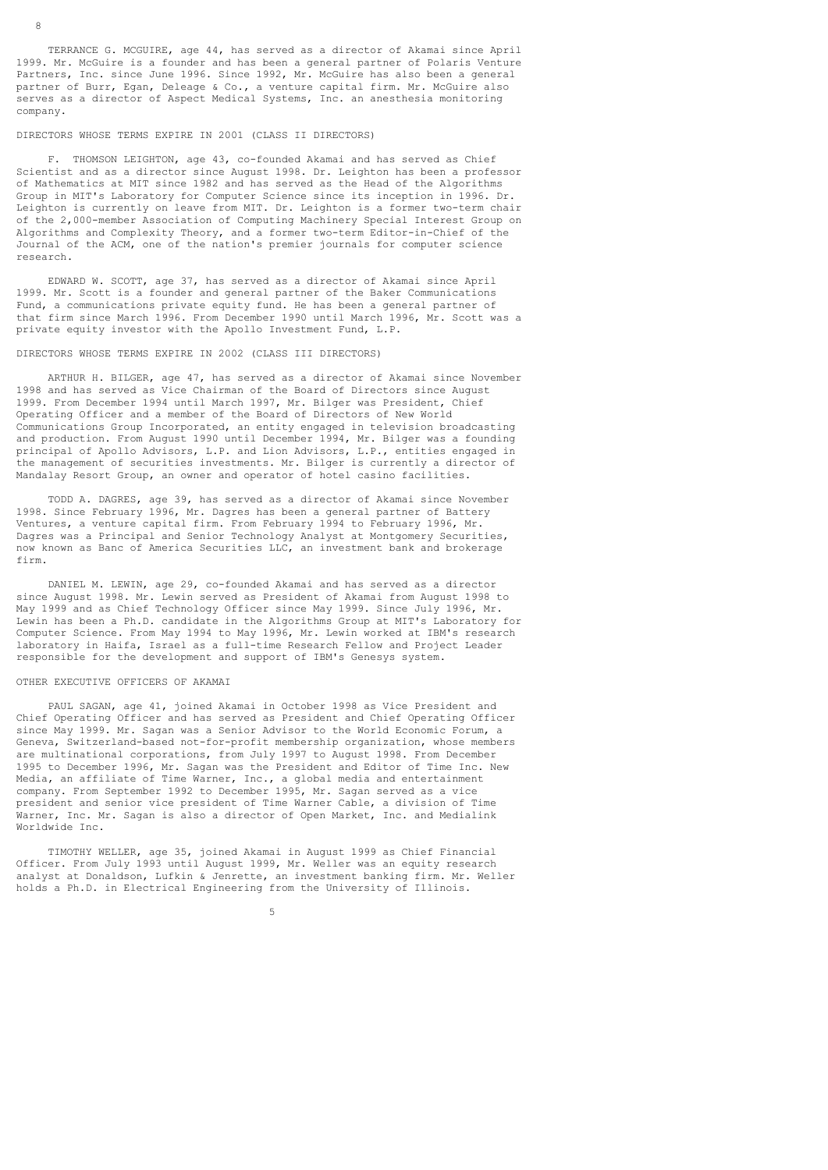TERRANCE G. MCGUIRE, age 44, has served as a director of Akamai since April 1999. Mr. McGuire is a founder and has been a general partner of Polaris Venture Partners, Inc. since June 1996. Since 1992, Mr. McGuire has also been a general partner of Burr, Egan, Deleage & Co., a venture capital firm. Mr. McGuire also serves as a director of Aspect Medical Systems, Inc. an anesthesia monitoring company.

### DIRECTORS WHOSE TERMS EXPIRE IN 2001 (CLASS II DIRECTORS)

 F. THOMSON LEIGHTON, age 43, co-founded Akamai and has served as Chief Scientist and as a director since August 1998. Dr. Leighton has been a professor of Mathematics at MIT since 1982 and has served as the Head of the Algorithms Group in MIT's Laboratory for Computer Science since its inception in 1996. Dr. Leighton is currently on leave from MIT. Dr. Leighton is a former two-term chair of the 2,000-member Association of Computing Machinery Special Interest Group on Algorithms and Complexity Theory, and a former two-term Editor-in-Chief of the Journal of the ACM, one of the nation's premier journals for computer science research.

 EDWARD W. SCOTT, age 37, has served as a director of Akamai since April 1999. Mr. Scott is a founder and general partner of the Baker Communications Fund, a communications private equity fund. He has been a general partner of that firm since March 1996. From December 1990 until March 1996, Mr. Scott was a private equity investor with the Apollo Investment Fund, L.P.

### DIRECTORS WHOSE TERMS EXPIRE IN 2002 (CLASS III DIRECTORS)

 ARTHUR H. BILGER, age 47, has served as a director of Akamai since November 1998 and has served as Vice Chairman of the Board of Directors since August 1999. From December 1994 until March 1997, Mr. Bilger was President, Chief Operating Officer and a member of the Board of Directors of New World Communications Group Incorporated, an entity engaged in television broadcasting and production. From August 1990 until December 1994, Mr. Bilger was a founding principal of Apollo Advisors, L.P. and Lion Advisors, L.P., entities engaged in the management of securities investments. Mr. Bilger is currently a director of Mandalay Resort Group, an owner and operator of hotel casino facilities.

 TODD A. DAGRES, age 39, has served as a director of Akamai since November 1998. Since February 1996, Mr. Dagres has been a general partner of Battery Ventures, a venture capital firm. From February 1994 to February 1996, Mr. Dagres was a Principal and Senior Technology Analyst at Montgomery Securities, now known as Banc of America Securities LLC, an investment bank and brokerage firm.

 DANIEL M. LEWIN, age 29, co-founded Akamai and has served as a director since August 1998. Mr. Lewin served as President of Akamai from August 1998 to May 1999 and as Chief Technology Officer since May 1999. Since July 1996, Mr. Lewin has been a Ph.D. candidate in the Algorithms Group at MIT's Laboratory for Computer Science. From May 1994 to May 1996, Mr. Lewin worked at IBM's research laboratory in Haifa, Israel as a full-time Research Fellow and Project Leader responsible for the development and support of IBM's Genesys system.

#### OTHER EXECUTIVE OFFICERS OF AKAMAI

 $5<sub>5</sub>$ 

 PAUL SAGAN, age 41, joined Akamai in October 1998 as Vice President and Chief Operating Officer and has served as President and Chief Operating Officer since May 1999. Mr. Sagan was a Senior Advisor to the World Economic Forum, a Geneva, Switzerland-based not-for-profit membership organization, whose members are multinational corporations, from July 1997 to August 1998. From December 1995 to December 1996, Mr. Sagan was the President and Editor of Time Inc. New Media, an affiliate of Time Warner, Inc., a global media and entertainment company. From September 1992 to December 1995, Mr. Sagan served as a vice president and senior vice president of Time Warner Cable, a division of Time Warner, Inc. Mr. Sagan is also a director of Open Market, Inc. and Medialink Worldwide Inc.

 TIMOTHY WELLER, age 35, joined Akamai in August 1999 as Chief Financial Officer. From July 1993 until August 1999, Mr. Weller was an equity research analyst at Donaldson, Lufkin & Jenrette, an investment banking firm. Mr. Weller holds a Ph.D. in Electrical Engineering from the University of Illinois.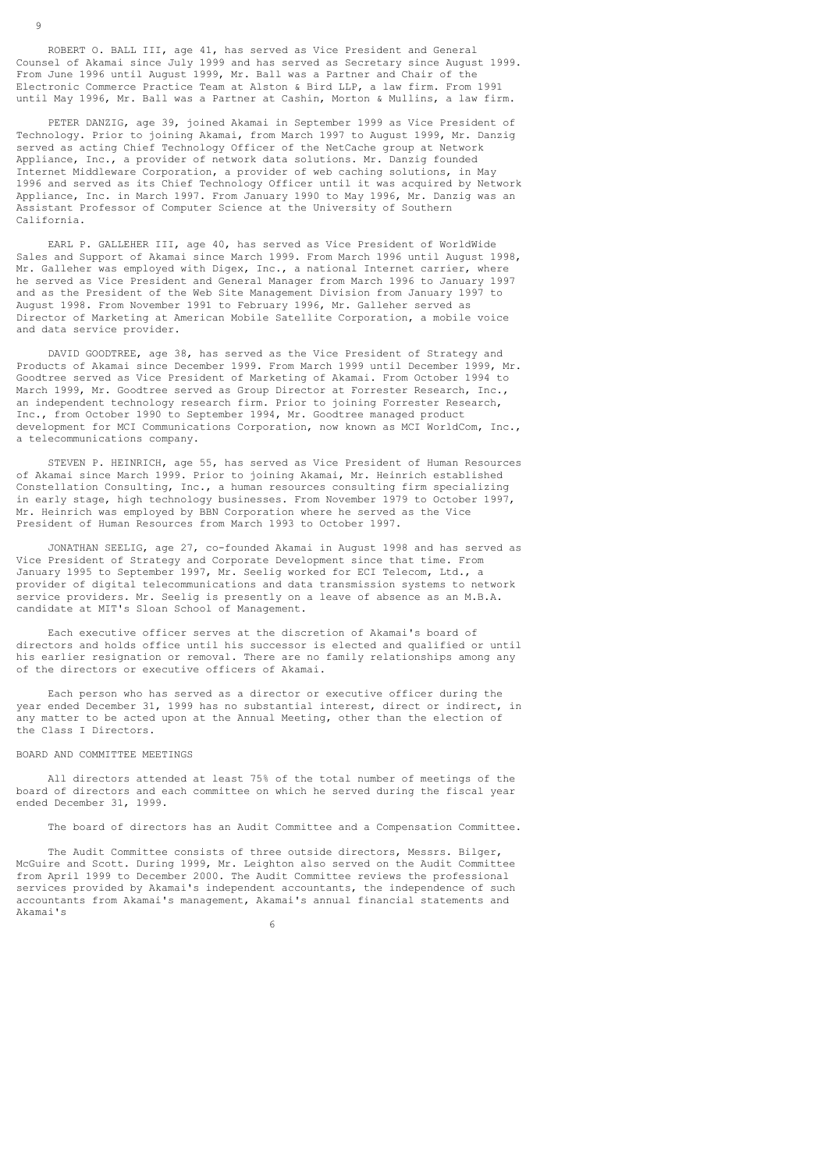ROBERT O. BALL III, age 41, has served as Vice President and General Counsel of Akamai since July 1999 and has served as Secretary since August 1999. From June 1996 until August 1999, Mr. Ball was a Partner and Chair of the Electronic Commerce Practice Team at Alston & Bird LLP, a law firm. From 1991 until May 1996, Mr. Ball was a Partner at Cashin, Morton & Mullins, a law firm.

 PETER DANZIG, age 39, joined Akamai in September 1999 as Vice President of Technology. Prior to joining Akamai, from March 1997 to August 1999, Mr. Danzig served as acting Chief Technology Officer of the NetCache group at Network Appliance, Inc., a provider of network data solutions. Mr. Danzig founded Internet Middleware Corporation, a provider of web caching solutions, in May 1996 and served as its Chief Technology Officer until it was acquired by Network Appliance, Inc. in March 1997. From January 1990 to May 1996, Mr. Danzig was an Assistant Professor of Computer Science at the University of Southern California.

 EARL P. GALLEHER III, age 40, has served as Vice President of WorldWide Sales and Support of Akamai since March 1999. From March 1996 until August 1998, Mr. Galleher was employed with Digex, Inc., a national Internet carrier, where he served as Vice President and General Manager from March 1996 to January 1997 and as the President of the Web Site Management Division from January 1997 to August 1998. From November 1991 to February 1996, Mr. Galleher served as Director of Marketing at American Mobile Satellite Corporation, a mobile voice and data service provider.

 DAVID GOODTREE, age 38, has served as the Vice President of Strategy and Products of Akamai since December 1999. From March 1999 until December 1999, Mr. Goodtree served as Vice President of Marketing of Akamai. From October 1994 to March 1999, Mr. Goodtree served as Group Director at Forrester Research, Inc., an independent technology research firm. Prior to joining Forrester Research, Inc., from October 1990 to September 1994, Mr. Goodtree managed product development for MCI Communications Corporation, now known as MCI WorldCom, Inc., a telecommunications company.

 STEVEN P. HEINRICH, age 55, has served as Vice President of Human Resources of Akamai since March 1999. Prior to joining Akamai, Mr. Heinrich established Constellation Consulting, Inc., a human resources consulting firm specializing in early stage, high technology businesses. From November 1979 to October 1997, Mr. Heinrich was employed by BBN Corporation where he served as the Vice President of Human Resources from March 1993 to October 1997.

 JONATHAN SEELIG, age 27, co-founded Akamai in August 1998 and has served as Vice President of Strategy and Corporate Development since that time. From January 1995 to September 1997, Mr. Seelig worked for ECI Telecom, Ltd., a provider of digital telecommunications and data transmission systems to network service providers. Mr. Seelig is presently on a leave of absence as an M.B.A. candidate at MIT's Sloan School of Management.

 Each executive officer serves at the discretion of Akamai's board of directors and holds office until his successor is elected and qualified or until his earlier resignation or removal. There are no family relationships among any of the directors or executive officers of Akamai.

 Each person who has served as a director or executive officer during the year ended December 31, 1999 has no substantial interest, direct or indirect, in any matter to be acted upon at the Annual Meeting, other than the election of the Class I Directors.

# BOARD AND COMMITTEE MEETINGS

 All directors attended at least 75% of the total number of meetings of the board of directors and each committee on which he served during the fiscal year ended December 31, 1999.

The board of directors has an Audit Committee and a Compensation Committee.

 The Audit Committee consists of three outside directors, Messrs. Bilger, McGuire and Scott. During 1999, Mr. Leighton also served on the Audit Committee from April 1999 to December 2000. The Audit Committee reviews the professional services provided by Akamai's independent accountants, the independence of such accountants from Akamai's management, Akamai's annual financial statements and Akamai's

 $\sim$  6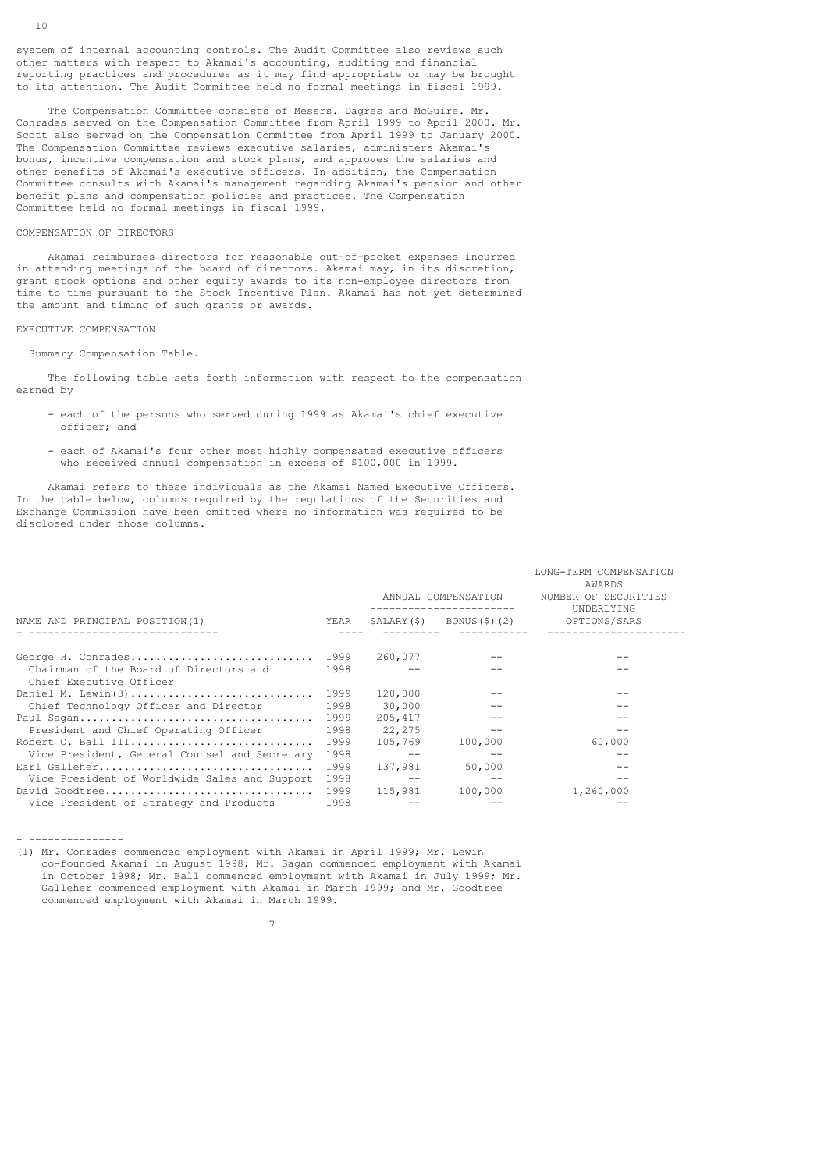The Compensation Committee consists of Messrs. Dagres and McGuire. Mr. Conrades served on the Compensation Committee from April 1999 to April 2000. Mr. Scott also served on the Compensation Committee from April 1999 to January 2000. The Compensation Committee reviews executive salaries, administers Akamai's bonus, incentive compensation and stock plans, and approves the salaries and other benefits of Akamai's executive officers. In addition, the Compensation Committee consults with Akamai's management regarding Akamai's pension and other benefit plans and compensation policies and practices. The Compensation Committee held no formal meetings in fiscal 1999.

# COMPENSATION OF DIRECTORS

 Akamai reimburses directors for reasonable out-of-pocket expenses incurred in attending meetings of the board of directors. Akamai may, in its discretion, grant stock options and other equity awards to its non-employee directors from time to time pursuant to the Stock Incentive Plan. Akamai has not yet determined the amount and timing of such grants or awards.

### EXECUTIVE COMPENSATION

Summary Compensation Table.

 The following table sets forth information with respect to the compensation earned by

- each of the persons who served during 1999 as Akamai's chief executive officer; and
- each of Akamai's four other most highly compensated executive officers who received annual compensation in excess of \$100,000 in 1999.

 Akamai refers to these individuals as the Akamai Named Executive Officers. In the table below, columns required by the regulations of the Securities and Exchange Commission have been omitted where no information was required to be disclosed under those columns.

| NAME AND PRINCIPAL POSITION (1)                                   |      |         | ANNUAL COMPENSATION                         | LONG-TERM COMPENSATION<br>AWARDS<br>NUMBER OF SECURITIES<br>UNDERLYING |  |
|-------------------------------------------------------------------|------|---------|---------------------------------------------|------------------------------------------------------------------------|--|
|                                                                   |      |         |                                             | $SALARY(\$)$ BONUS(\$)(2) OPTIONS/SARS                                 |  |
|                                                                   |      |         |                                             |                                                                        |  |
| George H. Conrades 1999                                           |      | 260,077 |                                             |                                                                        |  |
| Chairman of the Board of Directors and<br>Chief Executive Officer | 1998 |         |                                             |                                                                        |  |
| Daniel M. Lewin(3) 1999                                           |      | 120,000 |                                             |                                                                        |  |
| Chief Technology Officer and Director                             | 1998 | 30,000  | $-$                                         |                                                                        |  |
|                                                                   |      | 205,417 | and the contract of the second state of the |                                                                        |  |
| President and Chief Operating Officer                             | 1998 | 22,275  | $- -$                                       | $- -$                                                                  |  |
| Robert O. Ball III                                                | 1999 | 105,769 | 100,000                                     | 60,000                                                                 |  |
| Vice President, General Counsel and Secretary                     | 1998 | $- -$   |                                             | $- -$                                                                  |  |
|                                                                   |      | 137,981 | 50,000                                      |                                                                        |  |
| Vice President of Worldwide Sales and Support                     | 1998 |         |                                             |                                                                        |  |
|                                                                   |      | 115,981 | 100,000                                     | 1,260,000                                                              |  |
| Vice President of Strategy and Products                           | 1998 |         |                                             |                                                                        |  |

- ---------------

7

(1) Mr. Conrades commenced employment with Akamai in April 1999; Mr. Lewin co-founded Akamai in August 1998; Mr. Sagan commenced employment with Akamai in October 1998; Mr. Ball commenced employment with Akamai in July 1999; Mr. Galleher commenced employment with Akamai in March 1999; and Mr. Goodtree commenced employment with Akamai in March 1999.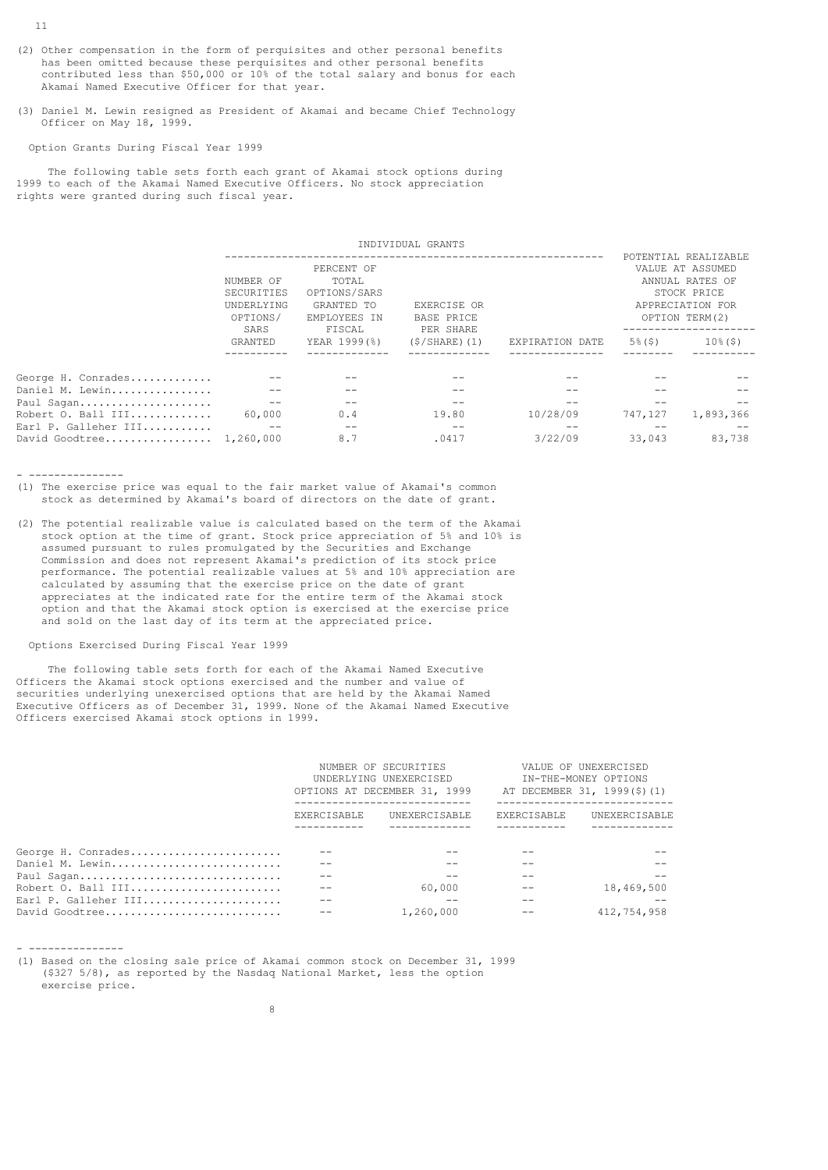- (2) Other compensation in the form of perquisites and other personal benefits has been omitted because these perquisites and other personal benefits contributed less than \$50,000 or 10% of the total salary and bonus for each Akamai Named Executive Officer for that year.
- (3) Daniel M. Lewin resigned as President of Akamai and became Chief Technology Officer on May 18, 1999.

Option Grants During Fiscal Year 1999

 The following table sets forth each grant of Akamai stock options during 1999 to each of the Akamai Named Executive Officers. No stock appreciation rights were granted during such fiscal year.

|                                       |                                                                                                                                          |              | INDIVIDUAL GRANTS                             |                 |                                                                                                                  |             |
|---------------------------------------|------------------------------------------------------------------------------------------------------------------------------------------|--------------|-----------------------------------------------|-----------------|------------------------------------------------------------------------------------------------------------------|-------------|
|                                       | PERCENT OF<br>NUMBER OF<br>TOTAL<br>OPTIONS/SARS<br>SECURITIES<br>GRANTED TO<br>UNDERLYING<br>OPTIONS/<br>EMPLOYEES IN<br>SARS<br>FISCAL |              | EXERCISE OR<br><b>BASE PRICE</b><br>PER SHARE |                 | POTENTIAL REALIZABLE<br>VALUE AT ASSUMED<br>ANNUAL RATES OF<br>STOCK PRICE<br>APPRECIATION FOR<br>OPTION TERM(2) |             |
|                                       | <b>GRANTED</b>                                                                                                                           | YEAR 1999(%) | $(S/SHARE)$ (1)                               | EXPIRATION DATE | $5\%$ (\$)                                                                                                       | $10\%$ (\$) |
| George H. Conrades<br>Daniel M. Lewin |                                                                                                                                          |              |                                               |                 |                                                                                                                  |             |
| Paul Sagan                            |                                                                                                                                          |              |                                               |                 |                                                                                                                  |             |
| Robert O. Ball III                    | 60,000                                                                                                                                   | 0.4          | 19.80                                         | 10/28/09        | 747,127                                                                                                          | 1,893,366   |
| Earl P. Galleher III                  |                                                                                                                                          |              |                                               |                 |                                                                                                                  |             |
| David Goodtree 1,260,000              |                                                                                                                                          | 8.7          | .0417                                         | 3/22/09         | 33,043                                                                                                           | 83,738      |

- ---------------

- ---------------

en andere de la provincia de la provincia de la provincia de la provincia de la provincia de la provincia del<br>Segundo de la provincia de la provincia de la provincia de la provincia de la provincia de la provincia de la

(1) The exercise price was equal to the fair market value of Akamai's common stock as determined by Akamai's board of directors on the date of grant.

(2) The potential realizable value is calculated based on the term of the Akamai stock option at the time of grant. Stock price appreciation of 5% and 10% is assumed pursuant to rules promulgated by the Securities and Exchange Commission and does not represent Akamai's prediction of its stock price performance. The potential realizable values at 5% and 10% appreciation are calculated by assuming that the exercise price on the date of grant appreciates at the indicated rate for the entire term of the Akamai stock option and that the Akamai stock option is exercised at the exercise price and sold on the last day of its term at the appreciated price.

Options Exercised During Fiscal Year 1999

 The following table sets forth for each of the Akamai Named Executive Officers the Akamai stock options exercised and the number and value of securities underlying unexercised options that are held by the Akamai Named Executive Officers as of December 31, 1999. None of the Akamai Named Executive Officers exercised Akamai stock options in 1999.

|                      |                    | NUMBER OF SECURITIES<br>UNDERLYING UNEXERCISED<br>OPTIONS AT DECEMBER 31, 1999 |                    | VALUE OF UNEXERCISED<br>IN-THE-MONEY OPTIONS<br>AT DECEMBER 31, 1999(\$)(1) |
|----------------------|--------------------|--------------------------------------------------------------------------------|--------------------|-----------------------------------------------------------------------------|
|                      | <b>EXERCISABLE</b> | UNEXERCISABLE                                                                  | <b>EXERCISABLE</b> | UNEXERCISABLE                                                               |
| George H. Conrades   |                    |                                                                                |                    |                                                                             |
| Daniel M. Lewin      |                    |                                                                                |                    |                                                                             |
| Paul Sagan           |                    |                                                                                |                    |                                                                             |
| Robert O. Ball III   |                    | 60,000                                                                         |                    | 18,469,500                                                                  |
| Earl P. Galleher III |                    |                                                                                |                    |                                                                             |
| David Goodtree       |                    | 1,260,000                                                                      |                    | 412,754,958                                                                 |

(1) Based on the closing sale price of Akamai common stock on December 31, 1999 (\$327 5/8), as reported by the Nasdaq National Market, less the option exercise price.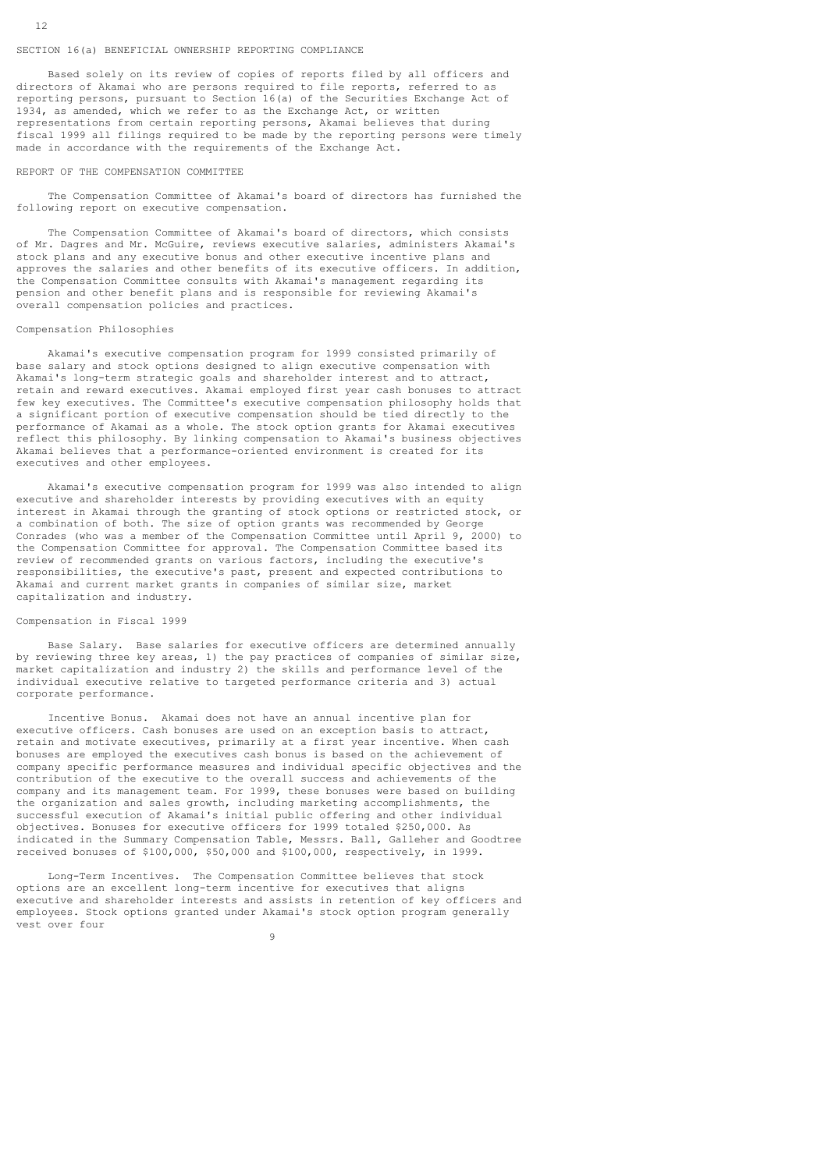# SECTION 16(a) BENEFICIAL OWNERSHIP REPORTING COMPLIANCE

 Based solely on its review of copies of reports filed by all officers and directors of Akamai who are persons required to file reports, referred to as reporting persons, pursuant to Section 16(a) of the Securities Exchange Act of 1934, as amended, which we refer to as the Exchange Act, or written representations from certain reporting persons, Akamai believes that during fiscal 1999 all filings required to be made by the reporting persons were timely made in accordance with the requirements of the Exchange Act.

#### REPORT OF THE COMPENSATION COMMITTEE

 The Compensation Committee of Akamai's board of directors has furnished the following report on executive compensation.

 The Compensation Committee of Akamai's board of directors, which consists of Mr. Dagres and Mr. McGuire, reviews executive salaries, administers Akamai's stock plans and any executive bonus and other executive incentive plans and approves the salaries and other benefits of its executive officers. In addition, the Compensation Committee consults with Akamai's management regarding its pension and other benefit plans and is responsible for reviewing Akamai's overall compensation policies and practices.

#### Compensation Philosophies

 Akamai's executive compensation program for 1999 consisted primarily of base salary and stock options designed to align executive compensation with Akamai's long-term strategic goals and shareholder interest and to attract, retain and reward executives. Akamai employed first year cash bonuses to attract few key executives. The Committee's executive compensation philosophy holds that a significant portion of executive compensation should be tied directly to the performance of Akamai as a whole. The stock option grants for Akamai executives reflect this philosophy. By linking compensation to Akamai's business objectives Akamai believes that a performance-oriented environment is created for its executives and other employees.

 Akamai's executive compensation program for 1999 was also intended to align executive and shareholder interests by providing executives with an equity interest in Akamai through the granting of stock options or restricted stock, or a combination of both. The size of option grants was recommended by George Conrades (who was a member of the Compensation Committee until April 9, 2000) to the Compensation Committee for approval. The Compensation Committee based its review of recommended grants on various factors, including the executive's responsibilities, the executive's past, present and expected contributions to Akamai and current market grants in companies of similar size, market capitalization and industry.

# Compensation in Fiscal 1999

9

 Base Salary. Base salaries for executive officers are determined annually by reviewing three key areas, 1) the pay practices of companies of similar size, market capitalization and industry 2) the skills and performance level of the individual executive relative to targeted performance criteria and 3) actual corporate performance.

 Incentive Bonus. Akamai does not have an annual incentive plan for executive officers. Cash bonuses are used on an exception basis to attract, retain and motivate executives, primarily at a first year incentive. When cash bonuses are employed the executives cash bonus is based on the achievement of company specific performance measures and individual specific objectives and the contribution of the executive to the overall success and achievements of the company and its management team. For 1999, these bonuses were based on building the organization and sales growth, including marketing accomplishments, the successful execution of Akamai's initial public offering and other individual objectives. Bonuses for executive officers for 1999 totaled \$250,000. As indicated in the Summary Compensation Table, Messrs. Ball, Galleher and Goodtree received bonuses of \$100,000, \$50,000 and \$100,000, respectively, in 1999.

 Long-Term Incentives. The Compensation Committee believes that stock options are an excellent long-term incentive for executives that aligns executive and shareholder interests and assists in retention of key officers and employees. Stock options granted under Akamai's stock option program generally vest over four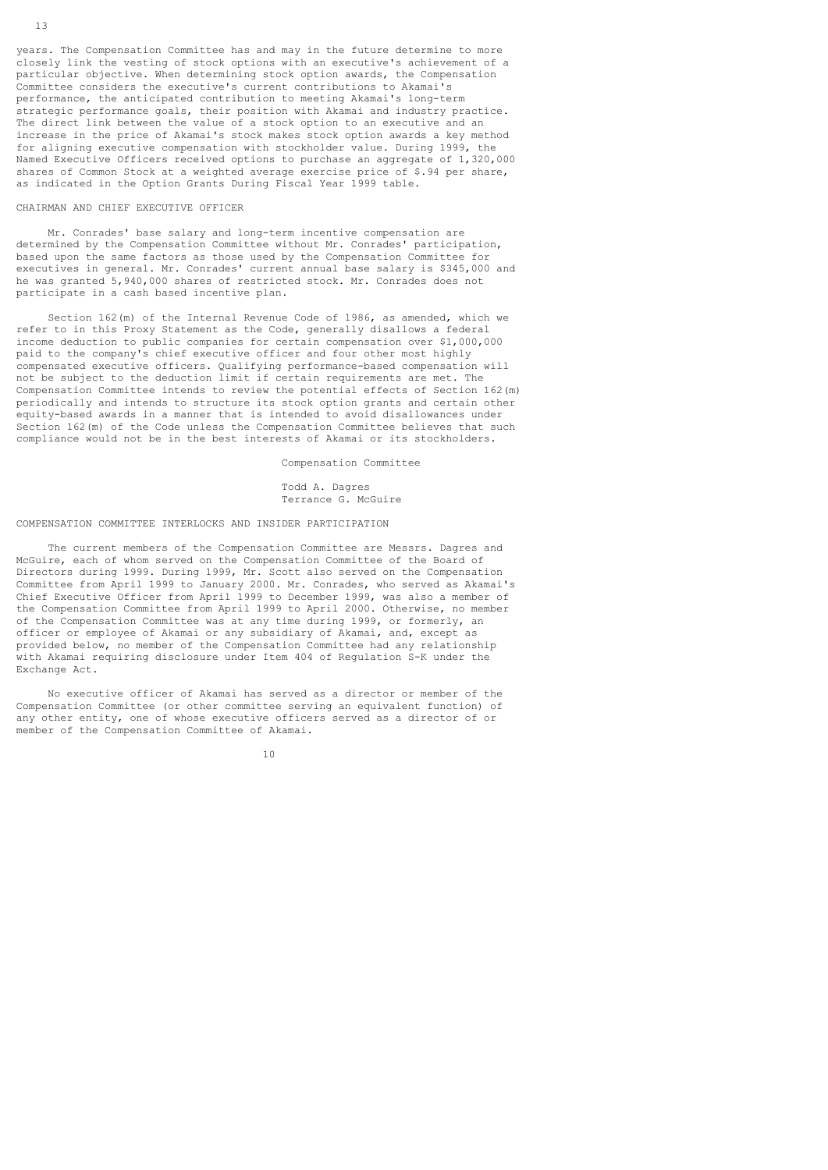years. The Compensation Committee has and may in the future determine to more closely link the vesting of stock options with an executive's achievement of a particular objective. When determining stock option awards, the Compensation Committee considers the executive's current contributions to Akamai's performance, the anticipated contribution to meeting Akamai's long-term strategic performance goals, their position with Akamai and industry practice. The direct link between the value of a stock option to an executive and an increase in the price of Akamai's stock makes stock option awards a key method for aligning executive compensation with stockholder value. During 1999, the Named Executive Officers received options to purchase an aggregate of 1,320,000 shares of Common Stock at a weighted average exercise price of \$.94 per share, as indicated in the Option Grants During Fiscal Year 1999 table.

# CHAIRMAN AND CHIEF EXECUTIVE OFFICER

 Mr. Conrades' base salary and long-term incentive compensation are determined by the Compensation Committee without Mr. Conrades' participation, based upon the same factors as those used by the Compensation Committee for executives in general. Mr. Conrades' current annual base salary is \$345,000 and he was granted 5,940,000 shares of restricted stock. Mr. Conrades does not participate in a cash based incentive plan.

 Section 162(m) of the Internal Revenue Code of 1986, as amended, which we refer to in this Proxy Statement as the Code, generally disallows a federal income deduction to public companies for certain compensation over \$1,000,000 paid to the company's chief executive officer and four other most highly compensated executive officers. Qualifying performance-based compensation will not be subject to the deduction limit if certain requirements are met. The Compensation Committee intends to review the potential effects of Section 162(m) periodically and intends to structure its stock option grants and certain other equity-based awards in a manner that is intended to avoid disallowances under Section 162(m) of the Code unless the Compensation Committee believes that such compliance would not be in the best interests of Akamai or its stockholders.

Compensation Committee

 Todd A. Dagres Terrance G. McGuire

# COMPENSATION COMMITTEE INTERLOCKS AND INSIDER PARTICIPATION

 The current members of the Compensation Committee are Messrs. Dagres and McGuire, each of whom served on the Compensation Committee of the Board of Directors during 1999. During 1999, Mr. Scott also served on the Compensation Committee from April 1999 to January 2000. Mr. Conrades, who served as Akamai's Chief Executive Officer from April 1999 to December 1999, was also a member of the Compensation Committee from April 1999 to April 2000. Otherwise, no member of the Compensation Committee was at any time during 1999, or formerly, an officer or employee of Akamai or any subsidiary of Akamai, and, except as provided below, no member of the Compensation Committee had any relationship with Akamai requiring disclosure under Item 404 of Regulation S-K under the Exchange Act.

 No executive officer of Akamai has served as a director or member of the Compensation Committee (or other committee serving an equivalent function) of any other entity, one of whose executive officers served as a director of or member of the Compensation Committee of Akamai.

10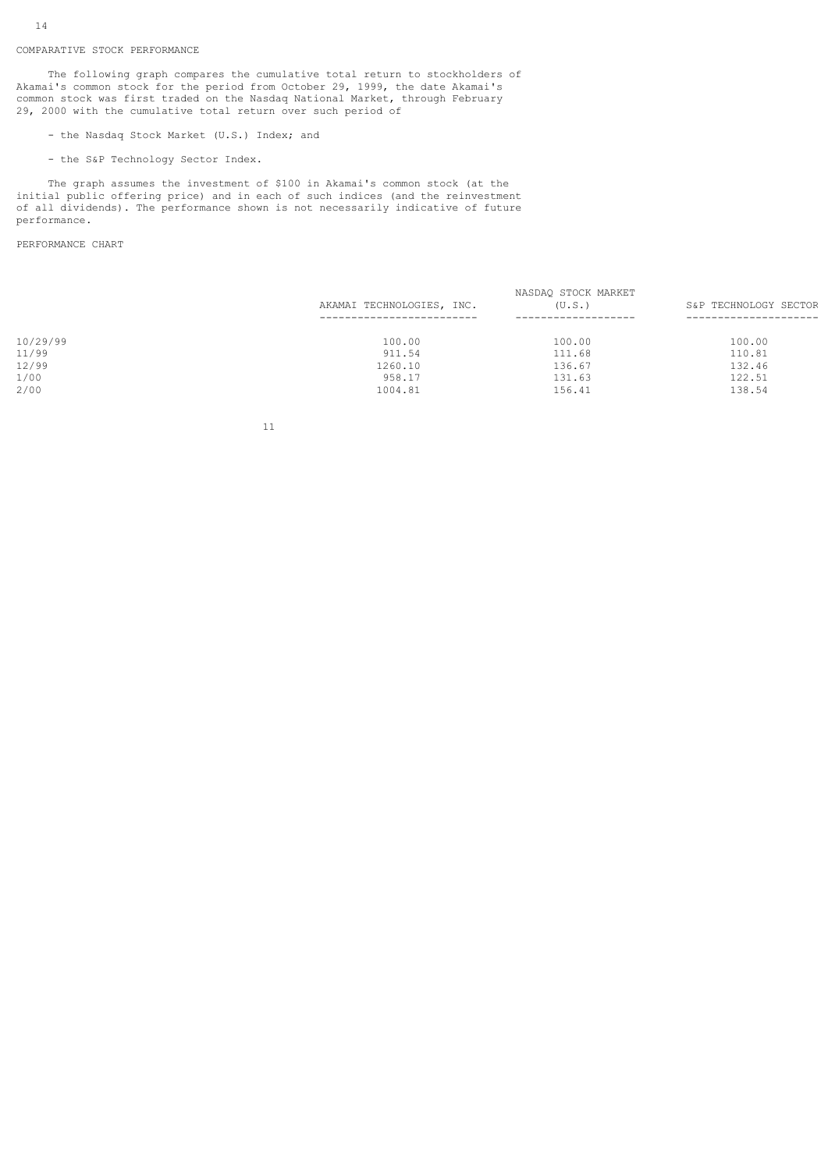# COMPARATIVE STOCK PERFORMANCE

 The following graph compares the cumulative total return to stockholders of Akamai's common stock for the period from October 29, 1999, the date Akamai's common stock was first traded on the Nasdaq National Market, through February 29, 2000 with the cumulative total return over such period of

- the Nasdaq Stock Market (U.S.) Index; and
- the S&P Technology Sector Index.

 The graph assumes the investment of \$100 in Akamai's common stock (at the initial public offering price) and in each of such indices (and the reinvestment of all dividends). The performance shown is not necessarily indicative of future performance.

PERFORMANCE CHART

|          |                           | NASDAQ STOCK MARKET |                       |
|----------|---------------------------|---------------------|-----------------------|
|          | AKAMAI TECHNOLOGIES, INC. | (U, S, .)           | S&P TECHNOLOGY SECTOR |
|          |                           |                     |                       |
| 10/29/99 | 100.00                    | 100.00              | 100.00                |
| 11/99    | 911.54                    | 111.68              | 110.81                |
| 12/99    | 1260.10                   | 136.67              | 132.46                |
| 1/00     | 958.17                    | 131.63              | 122.51                |
| 2/00     | 1004.81                   | 156.41              | 138.54                |
|          |                           |                     |                       |

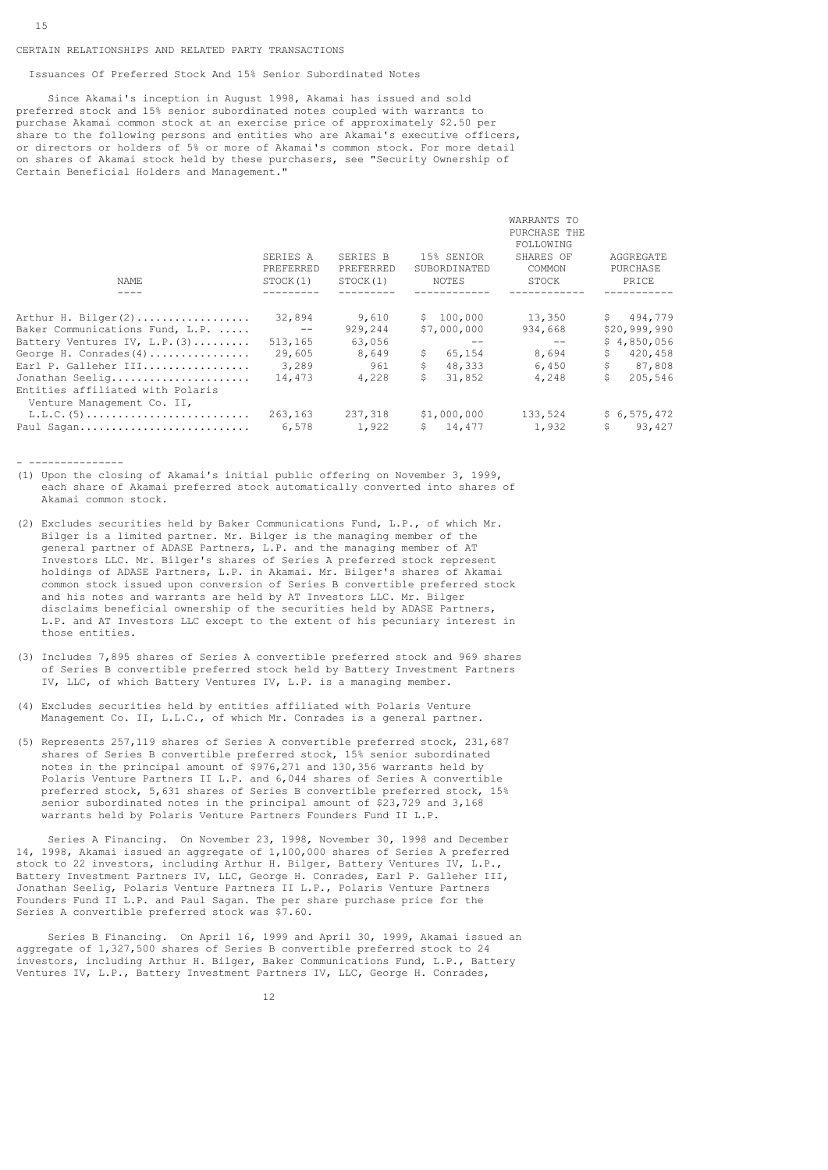# CERTAIN RELATIONSHIPS AND RELATED PARTY TRANSACTIONS

Issuances Of Preferred Stock And 15% Senior Subordinated Notes

 Since Akamai's inception in August 1998, Akamai has issued and sold preferred stock and 15% senior subordinated notes coupled with warrants to purchase Akamai common stock at an exercise price of approximately \$2.50 per share to the following persons and entities who are Akamai's executive officers, or directors or holders of 5% or more of Akamai's common stock. For more detail on shares of Akamai stock held by these purchasers, see "Security Ownership of Certain Beneficial Holders and Management."

|                       |                       |                            | WARRANTS TO<br>PURCHASE THE<br>FOLLOWING |                       |
|-----------------------|-----------------------|----------------------------|------------------------------------------|-----------------------|
| SERIES A<br>PREFERRED | SERIES B<br>PREFERRED | 15% SENIOR<br>SUBORDINATED | SHARES OF<br>COMMON                      | AGGREGATE<br>PURCHASE |
| STOCK(1)              | STOCK(1)              | NOTES                      | STOCK                                    | PRICE                 |
|                       |                       |                            |                                          |                       |
| 32,894                | 9,610                 | \$100,000                  | 13,350                                   | \$494,779             |
| $- -$                 | 929,244               | \$7,000,000                | 934,668                                  | \$20,999,990          |
| 513,165               | 63,056                |                            | $- -$                                    | \$4.850.056           |
| 29,605                | 8,649                 | 65,154<br>S.               | 8,694                                    | S.<br>420,458         |
| 3,289                 | 961                   | \$<br>48,333               | 6,450                                    | \$<br>87,808          |
| 14,473                | 4,228                 | \$<br>31,852               | 4,248                                    | 205,546               |
|                       |                       |                            |                                          | \$6,575,472           |
| 6,578                 |                       | \$14,477                   | 1,932                                    | S.<br>93,427          |
|                       | 263,163               | 1,922                      | 237,318<br>\$1,000,000                   | 133,524               |

- ---------------

- (1) Upon the closing of Akamai's initial public offering on November 3, 1999, each share of Akamai preferred stock automatically converted into shares of Akamai common stock.
- (2) Excludes securities held by Baker Communications Fund, L.P., of which Mr. Bilger is a limited partner. Mr. Bilger is the managing member of the general partner of ADASE Partners, L.P. and the managing member of AT Investors LLC. Mr. Bilger's shares of Series A preferred stock represent holdings of ADASE Partners, L.P. in Akamai. Mr. Bilger's shares of Akamai common stock issued upon conversion of Series B convertible preferred stock and his notes and warrants are held by AT Investors LLC. Mr. Bilger disclaims beneficial ownership of the securities held by ADASE Partners, L.P. and AT Investors LLC except to the extent of his pecuniary interest in those entities.
- (3) Includes 7,895 shares of Series A convertible preferred stock and 969 shares of Series B convertible preferred stock held by Battery Investment Partners IV, LLC, of which Battery Ventures IV, L.P. is a managing member.
- (4) Excludes securities held by entities affiliated with Polaris Venture Management Co. II, L.L.C., of which Mr. Conrades is a general partner.
- (5) Represents 257,119 shares of Series A convertible preferred stock, 231,687 shares of Series B convertible preferred stock, 15% senior subordinated notes in the principal amount of \$976,271 and 130,356 warrants held by Polaris Venture Partners II L.P. and 6,044 shares of Series A convertible preferred stock, 5,631 shares of Series B convertible preferred stock, 15% senior subordinated notes in the principal amount of \$23,729 and 3,168 warrants held by Polaris Venture Partners Founders Fund II L.P.

 Series A Financing. On November 23, 1998, November 30, 1998 and December 14, 1998, Akamai issued an aggregate of 1,100,000 shares of Series A preferred stock to 22 investors, including Arthur H. Bilger, Battery Ventures IV, L.P., Battery Investment Partners IV, LLC, George H. Conrades, Earl P. Galleher III, Jonathan Seelig, Polaris Venture Partners II L.P., Polaris Venture Partners Founders Fund II L.P. and Paul Sagan. The per share purchase price for the Series A convertible preferred stock was \$7.60.

 Series B Financing. On April 16, 1999 and April 30, 1999, Akamai issued an aggregate of 1,327,500 shares of Series B convertible preferred stock to 24 investors, including Arthur H. Bilger, Baker Communications Fund, L.P., Battery Ventures IV, L.P., Battery Investment Partners IV, LLC, George H. Conrades,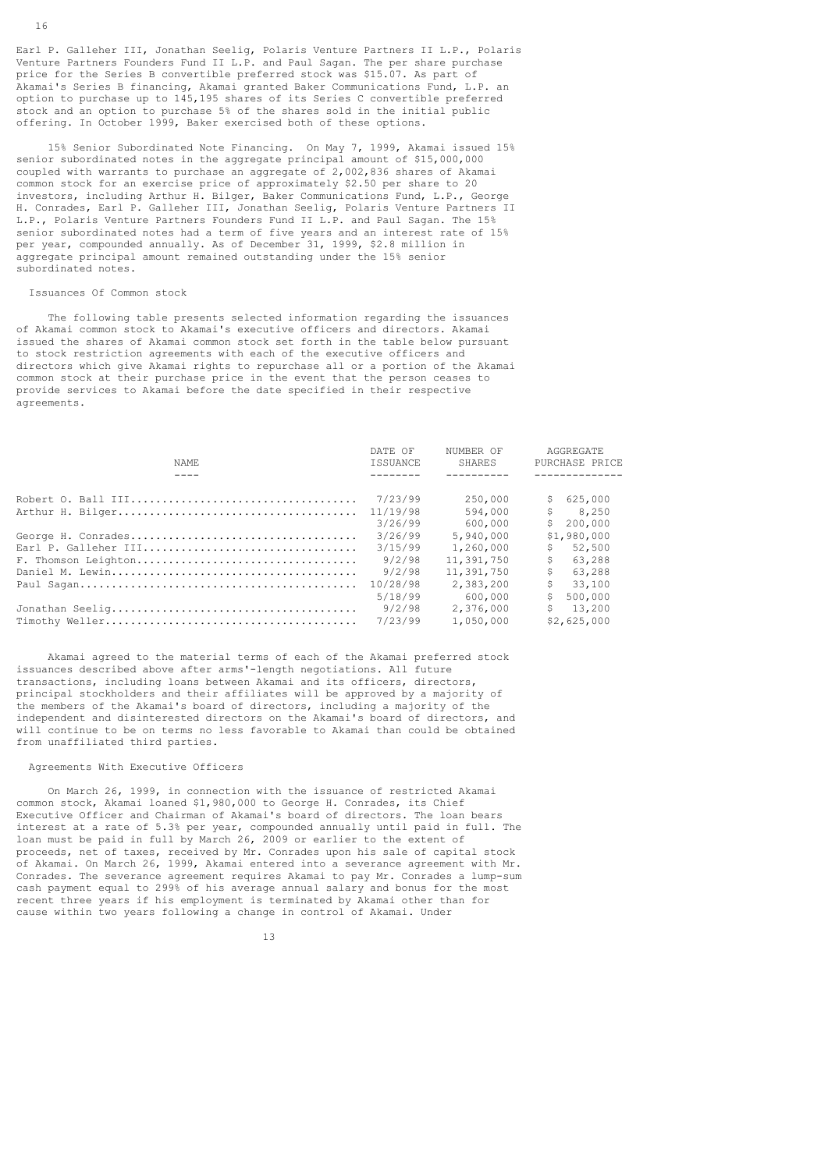Earl P. Galleher III, Jonathan Seelig, Polaris Venture Partners II L.P., Polaris Venture Partners Founders Fund II L.P. and Paul Sagan. The per share purchase price for the Series B convertible preferred stock was \$15.07. As part of Akamai's Series B financing, Akamai granted Baker Communications Fund, L.P. an option to purchase up to 145,195 shares of its Series C convertible preferred stock and an option to purchase 5% of the shares sold in the initial public offering. In October 1999, Baker exercised both of these options.

 15% Senior Subordinated Note Financing. On May 7, 1999, Akamai issued 15% senior subordinated notes in the aggregate principal amount of \$15,000,000 coupled with warrants to purchase an aggregate of 2,002,836 shares of Akamai common stock for an exercise price of approximately \$2.50 per share to 20 investors, including Arthur H. Bilger, Baker Communications Fund, L.P., George H. Conrades, Earl P. Galleher III, Jonathan Seelig, Polaris Venture Partners II L.P., Polaris Venture Partners Founders Fund II L.P. and Paul Sagan. The 15% senior subordinated notes had a term of five years and an interest rate of 15% per year, compounded annually. As of December 31, 1999, \$2.8 million in aggregate principal amount remained outstanding under the 15% senior subordinated notes.

### Issuances Of Common stock

 The following table presents selected information regarding the issuances of Akamai common stock to Akamai's executive officers and directors. Akamai issued the shares of Akamai common stock set forth in the table below pursuant to stock restriction agreements with each of the executive officers and directors which give Akamai rights to repurchase all or a portion of the Akamai common stock at their purchase price in the event that the person ceases to provide services to Akamai before the date specified in their respective agreements.

|                     | DATE OF         | NUMBER OF  | AGGREGATE      |
|---------------------|-----------------|------------|----------------|
| NAMF.               | <b>TSSUANCE</b> | SHARES     | PURCHASE PRICE |
|                     |                 |            |                |
|                     | 7/23/99         | 250,000    | \$625.000      |
|                     | 11/19/98        | 594,000    | S<br>8,250     |
|                     | 3/26/99         | 600,000    | 200,000<br>S.  |
|                     | 3/26/99         | 5,940,000  | \$1,980,000    |
|                     | 3/15/99         | 1,260,000  | \$.<br>52,500  |
| F. Thomson Leighton | 9/2/98          | 11,391,750 | \$<br>63,288   |
|                     | 9/2/98          | 11,391,750 | \$<br>63,288   |
|                     | 10/28/98        | 2,383,200  | \$<br>33,100   |
|                     | 5/18/99         | 600,000    | 500,000<br>\$  |
|                     | 9/2/98          | 2,376,000  | \$<br>13,200   |
|                     | 7/23/99         | 1,050,000  | \$2,625,000    |

 Akamai agreed to the material terms of each of the Akamai preferred stock issuances described above after arms'-length negotiations. All future transactions, including loans between Akamai and its officers, directors, principal stockholders and their affiliates will be approved by a majority of the members of the Akamai's board of directors, including a majority of the independent and disinterested directors on the Akamai's board of directors, and will continue to be on terms no less favorable to Akamai than could be obtained from unaffiliated third parties.

#### Agreements With Executive Officers

 On March 26, 1999, in connection with the issuance of restricted Akamai common stock, Akamai loaned \$1,980,000 to George H. Conrades, its Chief Executive Officer and Chairman of Akamai's board of directors. The loan bears interest at a rate of 5.3% per year, compounded annually until paid in full. The loan must be paid in full by March 26, 2009 or earlier to the extent of proceeds, net of taxes, received by Mr. Conrades upon his sale of capital stock of Akamai. On March 26, 1999, Akamai entered into a severance agreement with Mr. Conrades. The severance agreement requires Akamai to pay Mr. Conrades a lump-sum cash payment equal to 299% of his average annual salary and bonus for the most recent three years if his employment is terminated by Akamai other than for cause within two years following a change in control of Akamai. Under

13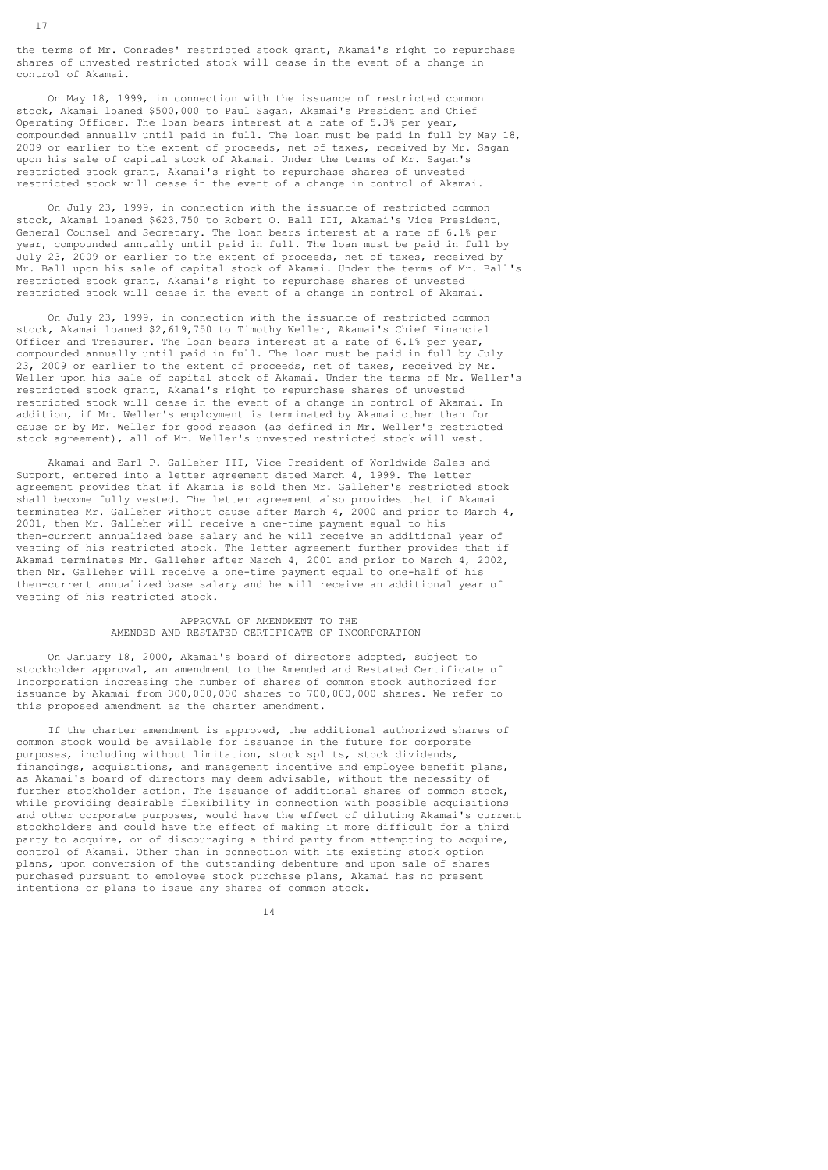the terms of Mr. Conrades' restricted stock grant, Akamai's right to repurchase shares of unvested restricted stock will cease in the event of a change in control of Akamai.

 On May 18, 1999, in connection with the issuance of restricted common stock, Akamai loaned \$500,000 to Paul Sagan, Akamai's President and Chief Operating Officer. The loan bears interest at a rate of 5.3% per year, compounded annually until paid in full. The loan must be paid in full by May 18, 2009 or earlier to the extent of proceeds, net of taxes, received by Mr. Sagan upon his sale of capital stock of Akamai. Under the terms of Mr. Sagan's restricted stock grant, Akamai's right to repurchase shares of unvested restricted stock will cease in the event of a change in control of Akamai.

 On July 23, 1999, in connection with the issuance of restricted common stock, Akamai loaned \$623,750 to Robert O. Ball III, Akamai's Vice President, General Counsel and Secretary. The loan bears interest at a rate of 6.1% per year, compounded annually until paid in full. The loan must be paid in full by July 23, 2009 or earlier to the extent of proceeds, net of taxes, received by Mr. Ball upon his sale of capital stock of Akamai. Under the terms of Mr. Ball's restricted stock grant, Akamai's right to repurchase shares of unvested restricted stock will cease in the event of a change in control of Akamai.

 On July 23, 1999, in connection with the issuance of restricted common stock, Akamai loaned \$2,619,750 to Timothy Weller, Akamai's Chief Financial Officer and Treasurer. The loan bears interest at a rate of 6.1% per year, compounded annually until paid in full. The loan must be paid in full by July 23, 2009 or earlier to the extent of proceeds, net of taxes, received by Mr. Weller upon his sale of capital stock of Akamai. Under the terms of Mr. Weller's restricted stock grant, Akamai's right to repurchase shares of unvested restricted stock will cease in the event of a change in control of Akamai. In addition, if Mr. Weller's employment is terminated by Akamai other than for cause or by Mr. Weller for good reason (as defined in Mr. Weller's restricted stock agreement), all of Mr. Weller's unvested restricted stock will vest.

 Akamai and Earl P. Galleher III, Vice President of Worldwide Sales and Support, entered into a letter agreement dated March 4, 1999. The letter agreement provides that if Akamia is sold then Mr. Galleher's restricted stock shall become fully vested. The letter agreement also provides that if Akamai terminates Mr. Galleher without cause after March 4, 2000 and prior to March 4, 2001, then Mr. Galleher will receive a one-time payment equal to his then-current annualized base salary and he will receive an additional year of vesting of his restricted stock. The letter agreement further provides that if Akamai terminates Mr. Galleher after March 4, 2001 and prior to March 4, 2002, then Mr. Galleher will receive a one-time payment equal to one-half of his then-current annualized base salary and he will receive an additional year of vesting of his restricted stock.

# APPROVAL OF AMENDMENT TO THE AMENDED AND RESTATED CERTIFICATE OF INCORPORATION

 On January 18, 2000, Akamai's board of directors adopted, subject to stockholder approval, an amendment to the Amended and Restated Certificate of Incorporation increasing the number of shares of common stock authorized for issuance by Akamai from 300,000,000 shares to 700,000,000 shares. We refer to this proposed amendment as the charter amendment.

 If the charter amendment is approved, the additional authorized shares of common stock would be available for issuance in the future for corporate purposes, including without limitation, stock splits, stock dividends, financings, acquisitions, and management incentive and employee benefit plans, as Akamai's board of directors may deem advisable, without the necessity of further stockholder action. The issuance of additional shares of common stock, while providing desirable flexibility in connection with possible acquisitions and other corporate purposes, would have the effect of diluting Akamai's current stockholders and could have the effect of making it more difficult for a third party to acquire, or of discouraging a third party from attempting to acquire, control of Akamai. Other than in connection with its existing stock option plans, upon conversion of the outstanding debenture and upon sale of shares purchased pursuant to employee stock purchase plans, Akamai has no present intentions or plans to issue any shares of common stock.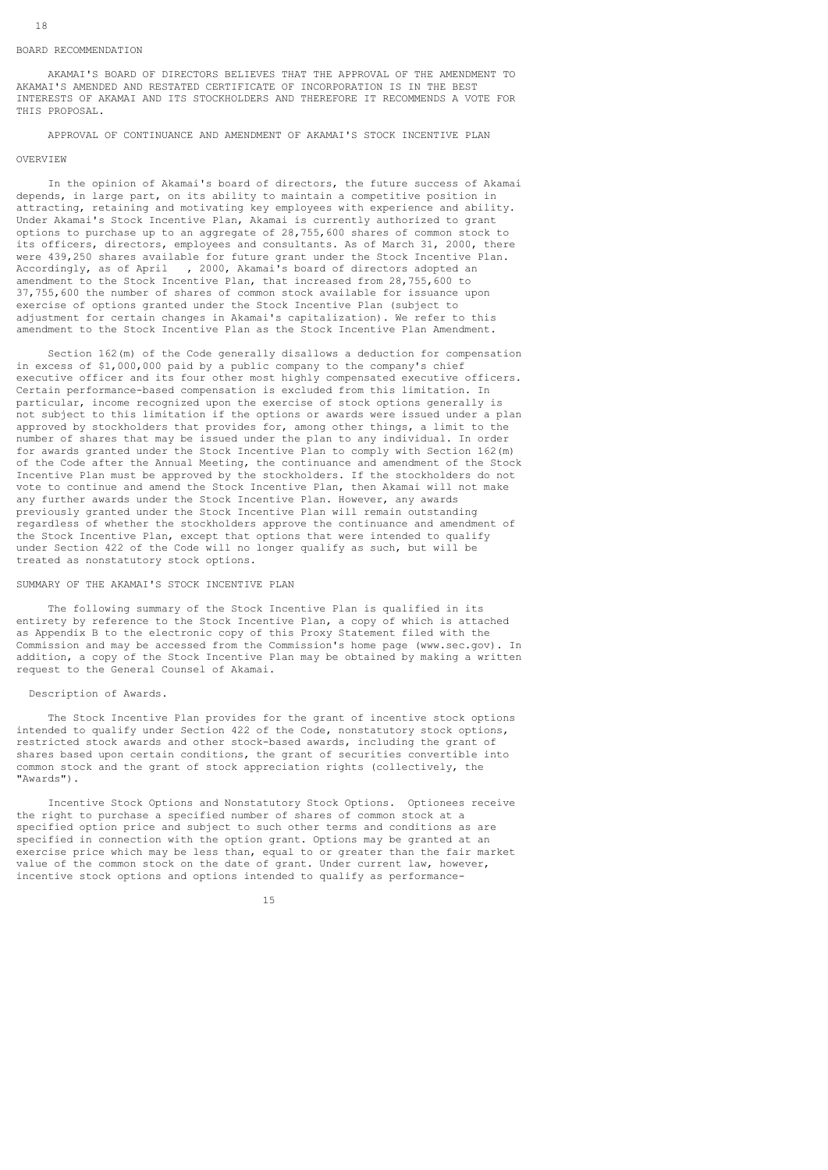#### BOARD RECOMMENDATION

 AKAMAI'S BOARD OF DIRECTORS BELIEVES THAT THE APPROVAL OF THE AMENDMENT TO AKAMAI'S AMENDED AND RESTATED CERTIFICATE OF INCORPORATION IS IN THE BEST INTERESTS OF AKAMAI AND ITS STOCKHOLDERS AND THEREFORE IT RECOMMENDS A VOTE FOR THIS PROPOSAL.

APPROVAL OF CONTINUANCE AND AMENDMENT OF AKAMAI'S STOCK INCENTIVE PLAN

### OVERVIEW

 In the opinion of Akamai's board of directors, the future success of Akamai depends, in large part, on its ability to maintain a competitive position in attracting, retaining and motivating key employees with experience and ability. Under Akamai's Stock Incentive Plan, Akamai is currently authorized to grant options to purchase up to an aggregate of 28,755,600 shares of common stock to its officers, directors, employees and consultants. As of March 31, 2000, there were 439,250 shares available for future grant under the Stock Incentive Plan. Accordingly, as of April , 2000, Akamai's board of directors adopted an amendment to the Stock Incentive Plan, that increased from 28,755,600 to 37,755,600 the number of shares of common stock available for issuance upon exercise of options granted under the Stock Incentive Plan (subject to adjustment for certain changes in Akamai's capitalization). We refer to this amendment to the Stock Incentive Plan as the Stock Incentive Plan Amendment.

 Section 162(m) of the Code generally disallows a deduction for compensation in excess of \$1,000,000 paid by a public company to the company's chief executive officer and its four other most highly compensated executive officers. Certain performance-based compensation is excluded from this limitation. In particular, income recognized upon the exercise of stock options generally is not subject to this limitation if the options or awards were issued under a plan approved by stockholders that provides for, among other things, a limit to the number of shares that may be issued under the plan to any individual. In order for awards granted under the Stock Incentive Plan to comply with Section 162(m) of the Code after the Annual Meeting, the continuance and amendment of the Stock Incentive Plan must be approved by the stockholders. If the stockholders do not vote to continue and amend the Stock Incentive Plan, then Akamai will not make any further awards under the Stock Incentive Plan. However, any awards previously granted under the Stock Incentive Plan will remain outstanding regardless of whether the stockholders approve the continuance and amendment of the Stock Incentive Plan, except that options that were intended to qualify under Section 422 of the Code will no longer qualify as such, but will be treated as nonstatutory stock options.

# SUMMARY OF THE AKAMAI'S STOCK INCENTIVE PLAN

 The following summary of the Stock Incentive Plan is qualified in its entirety by reference to the Stock Incentive Plan, a copy of which is attached as Appendix B to the electronic copy of this Proxy Statement filed with the Commission and may be accessed from the Commission's home page (www.sec.gov). In addition, a copy of the Stock Incentive Plan may be obtained by making a written request to the General Counsel of Akamai.

# Description of Awards.

 The Stock Incentive Plan provides for the grant of incentive stock options intended to qualify under Section 422 of the Code, nonstatutory stock options, restricted stock awards and other stock-based awards, including the grant of shares based upon certain conditions, the grant of securities convertible into common stock and the grant of stock appreciation rights (collectively, the "Awards").

 Incentive Stock Options and Nonstatutory Stock Options. Optionees receive the right to purchase a specified number of shares of common stock at a specified option price and subject to such other terms and conditions as are specified in connection with the option grant. Options may be granted at an exercise price which may be less than, equal to or greater than the fair market value of the common stock on the date of grant. Under current law, however, incentive stock options and options intended to qualify as performance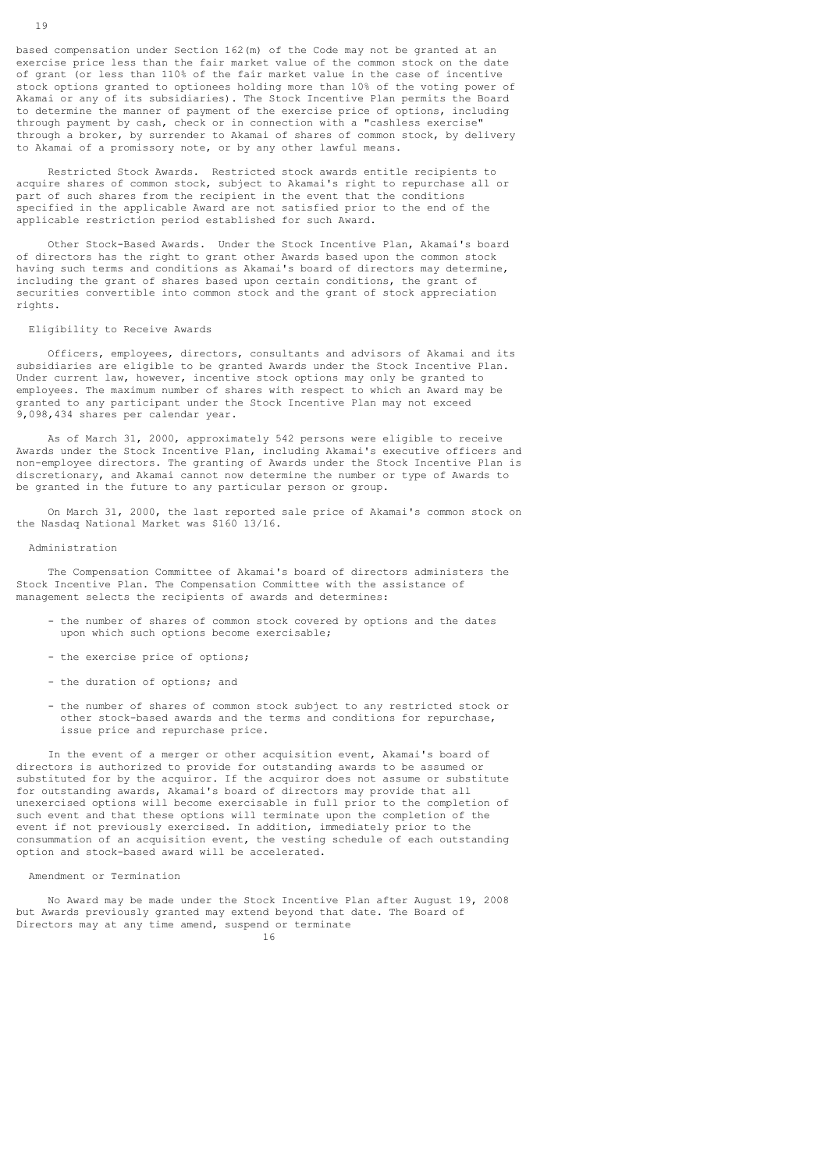based compensation under Section 162(m) of the Code may not be granted at an exercise price less than the fair market value of the common stock on the date of grant (or less than 110% of the fair market value in the case of incentive stock options granted to optionees holding more than 10% of the voting power of Akamai or any of its subsidiaries). The Stock Incentive Plan permits the Board to determine the manner of payment of the exercise price of options, including through payment by cash, check or in connection with a "cashless exercise" through a broker, by surrender to Akamai of shares of common stock, by delivery to Akamai of a promissory note, or by any other lawful means.

 Restricted Stock Awards. Restricted stock awards entitle recipients to acquire shares of common stock, subject to Akamai's right to repurchase all or part of such shares from the recipient in the event that the conditions specified in the applicable Award are not satisfied prior to the end of the applicable restriction period established for such Award.

 Other Stock-Based Awards. Under the Stock Incentive Plan, Akamai's board of directors has the right to grant other Awards based upon the common stock having such terms and conditions as Akamai's board of directors may determine, including the grant of shares based upon certain conditions, the grant of securities convertible into common stock and the grant of stock appreciation rights.

#### Eligibility to Receive Awards

 Officers, employees, directors, consultants and advisors of Akamai and its subsidiaries are eligible to be granted Awards under the Stock Incentive Plan. Under current law, however, incentive stock options may only be granted to employees. The maximum number of shares with respect to which an Award may be granted to any participant under the Stock Incentive Plan may not exceed 9,098,434 shares per calendar year.

 As of March 31, 2000, approximately 542 persons were eligible to receive Awards under the Stock Incentive Plan, including Akamai's executive officers and non-employee directors. The granting of Awards under the Stock Incentive Plan is discretionary, and Akamai cannot now determine the number or type of Awards to be granted in the future to any particular person or group.

 On March 31, 2000, the last reported sale price of Akamai's common stock on the Nasdaq National Market was \$160 13/16.

#### Administration

 The Compensation Committee of Akamai's board of directors administers the Stock Incentive Plan. The Compensation Committee with the assistance of management selects the recipients of awards and determines:

- the number of shares of common stock covered by options and the dates upon which such options become exercisable;
- the exercise price of options;
- the duration of options; and
- the number of shares of common stock subject to any restricted stock or other stock-based awards and the terms and conditions for repurchase, issue price and repurchase price.

 In the event of a merger or other acquisition event, Akamai's board of directors is authorized to provide for outstanding awards to be assumed or substituted for by the acquiror. If the acquiror does not assume or substitute for outstanding awards, Akamai's board of directors may provide that all unexercised options will become exercisable in full prior to the completion of such event and that these options will terminate upon the completion of the event if not previously exercised. In addition, immediately prior to the consummation of an acquisition event, the vesting schedule of each outstanding option and stock-based award will be accelerated.

Amendment or Termination

 No Award may be made under the Stock Incentive Plan after August 19, 2008 but Awards previously granted may extend beyond that date. The Board of Directors may at any time amend, suspend or terminate 16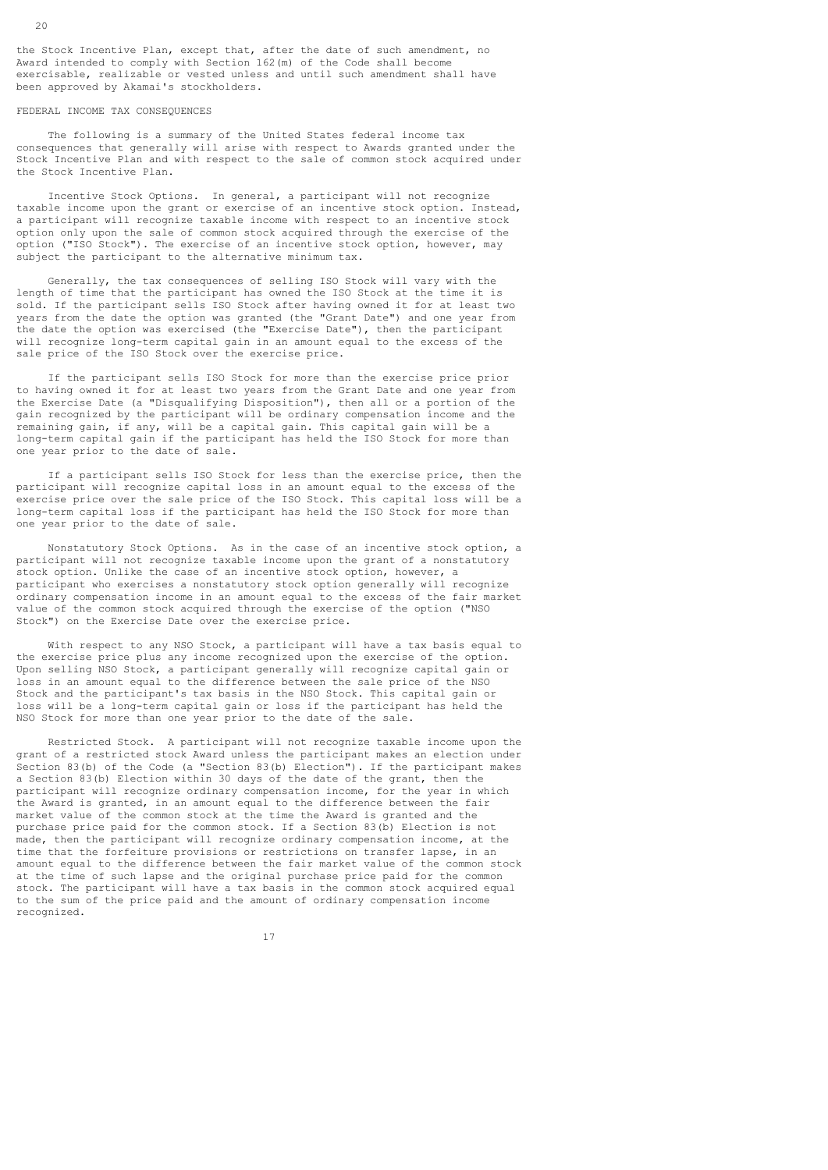the Stock Incentive Plan, except that, after the date of such amendment, no Award intended to comply with Section 162(m) of the Code shall become exercisable, realizable or vested unless and until such amendment shall have been approved by Akamai's stockholders.

#### FEDERAL INCOME TAX CONSEQUENCES

 The following is a summary of the United States federal income tax consequences that generally will arise with respect to Awards granted under the Stock Incentive Plan and with respect to the sale of common stock acquired under the Stock Incentive Plan.

 Incentive Stock Options. In general, a participant will not recognize taxable income upon the grant or exercise of an incentive stock option. Instead, a participant will recognize taxable income with respect to an incentive stock option only upon the sale of common stock acquired through the exercise of the option ("ISO Stock"). The exercise of an incentive stock option, however, may subject the participant to the alternative minimum tax.

 Generally, the tax consequences of selling ISO Stock will vary with the length of time that the participant has owned the ISO Stock at the time it is sold. If the participant sells ISO Stock after having owned it for at least two years from the date the option was granted (the "Grant Date") and one year from the date the option was exercised (the "Exercise Date"), then the participant will recognize long-term capital gain in an amount equal to the excess of the sale price of the ISO Stock over the exercise price.

 If the participant sells ISO Stock for more than the exercise price prior to having owned it for at least two years from the Grant Date and one year from the Exercise Date (a "Disqualifying Disposition"), then all or a portion of the gain recognized by the participant will be ordinary compensation income and the remaining gain, if any, will be a capital gain. This capital gain will be a long-term capital gain if the participant has held the ISO Stock for more than one year prior to the date of sale.

 If a participant sells ISO Stock for less than the exercise price, then the participant will recognize capital loss in an amount equal to the excess of the exercise price over the sale price of the ISO Stock. This capital loss will be a long-term capital loss if the participant has held the ISO Stock for more than one year prior to the date of sale.

 Nonstatutory Stock Options. As in the case of an incentive stock option, a participant will not recognize taxable income upon the grant of a nonstatutory stock option. Unlike the case of an incentive stock option, however, a participant who exercises a nonstatutory stock option generally will recognize ordinary compensation income in an amount equal to the excess of the fair market value of the common stock acquired through the exercise of the option ("NSO Stock") on the Exercise Date over the exercise price.

 With respect to any NSO Stock, a participant will have a tax basis equal to the exercise price plus any income recognized upon the exercise of the option. Upon selling NSO Stock, a participant generally will recognize capital gain or loss in an amount equal to the difference between the sale price of the NSO Stock and the participant's tax basis in the NSO Stock. This capital gain or loss will be a long-term capital gain or loss if the participant has held the NSO Stock for more than one year prior to the date of the sale.

 Restricted Stock. A participant will not recognize taxable income upon the grant of a restricted stock Award unless the participant makes an election under Section 83(b) of the Code (a "Section 83(b) Election"). If the participant makes a Section 83(b) Election within 30 days of the date of the grant, then the participant will recognize ordinary compensation income, for the year in which the Award is granted, in an amount equal to the difference between the fair market value of the common stock at the time the Award is granted and the purchase price paid for the common stock. If a Section 83(b) Election is not made, then the participant will recognize ordinary compensation income, at the time that the forfeiture provisions or restrictions on transfer lapse, in an amount equal to the difference between the fair market value of the common stock at the time of such lapse and the original purchase price paid for the common stock. The participant will have a tax basis in the common stock acquired equal to the sum of the price paid and the amount of ordinary compensation income recognized.

17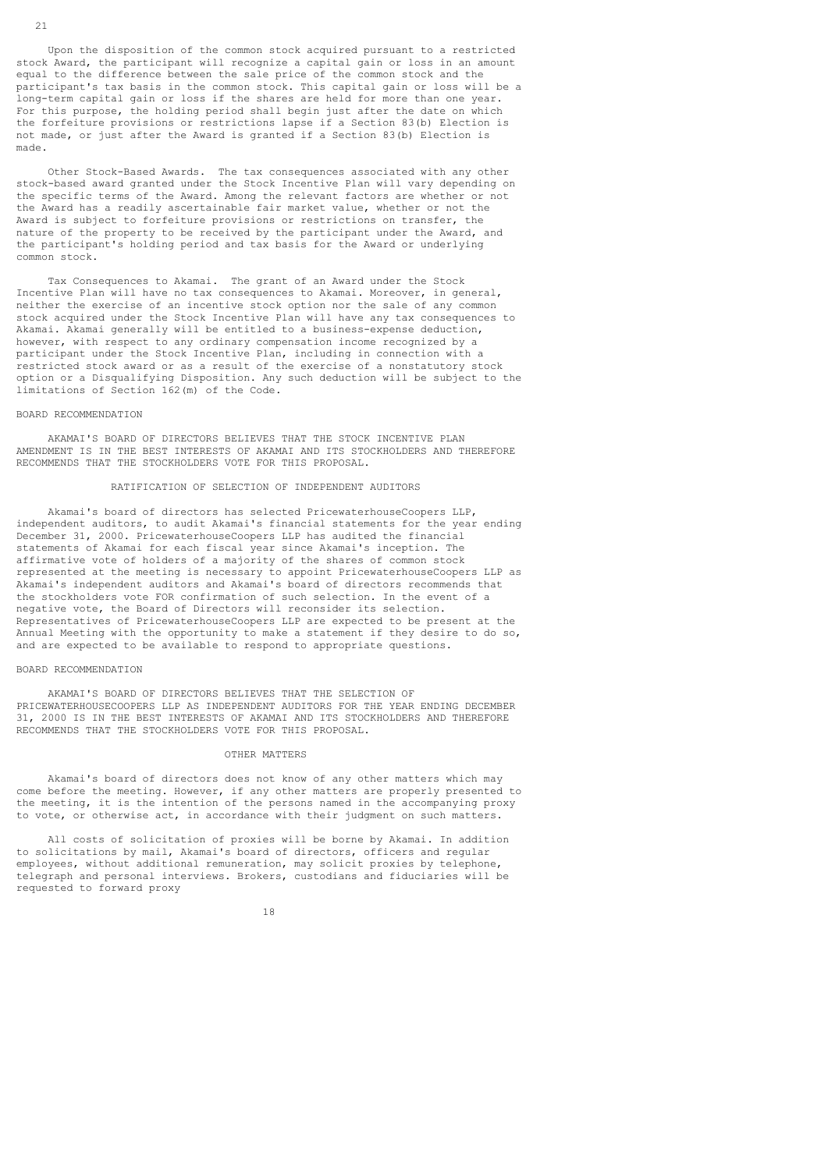Upon the disposition of the common stock acquired pursuant to a restricted stock Award, the participant will recognize a capital gain or loss in an amount equal to the difference between the sale price of the common stock and the participant's tax basis in the common stock. This capital gain or loss will be a long-term capital gain or loss if the shares are held for more than one year. For this purpose, the holding period shall begin just after the date on which the forfeiture provisions or restrictions lapse if a Section 83(b) Election is not made, or just after the Award is granted if a Section 83(b) Election is made.

 Other Stock-Based Awards. The tax consequences associated with any other stock-based award granted under the Stock Incentive Plan will vary depending on the specific terms of the Award. Among the relevant factors are whether or not the Award has a readily ascertainable fair market value, whether or not the Award is subject to forfeiture provisions or restrictions on transfer, the nature of the property to be received by the participant under the Award, and the participant's holding period and tax basis for the Award or underlying common stock.

 Tax Consequences to Akamai. The grant of an Award under the Stock Incentive Plan will have no tax consequences to Akamai. Moreover, in general, neither the exercise of an incentive stock option nor the sale of any common stock acquired under the Stock Incentive Plan will have any tax consequences to Akamai. Akamai generally will be entitled to a business-expense deduction, however, with respect to any ordinary compensation income recognized by a participant under the Stock Incentive Plan, including in connection with a restricted stock award or as a result of the exercise of a nonstatutory stock option or a Disqualifying Disposition. Any such deduction will be subject to the limitations of Section 162(m) of the Code.

# BOARD RECOMMENDATION

 AKAMAI'S BOARD OF DIRECTORS BELIEVES THAT THE STOCK INCENTIVE PLAN AMENDMENT IS IN THE BEST INTERESTS OF AKAMAI AND ITS STOCKHOLDERS AND THEREFORE RECOMMENDS THAT THE STOCKHOLDERS VOTE FOR THIS PROPOSAL.

# RATIFICATION OF SELECTION OF INDEPENDENT AUDITORS

 Akamai's board of directors has selected PricewaterhouseCoopers LLP, independent auditors, to audit Akamai's financial statements for the year ending December 31, 2000. PricewaterhouseCoopers LLP has audited the financial statements of Akamai for each fiscal year since Akamai's inception. The affirmative vote of holders of a majority of the shares of common stock represented at the meeting is necessary to appoint PricewaterhouseCoopers LLP as Akamai's independent auditors and Akamai's board of directors recommends that the stockholders vote FOR confirmation of such selection. In the event of a negative vote, the Board of Directors will reconsider its selection. Representatives of PricewaterhouseCoopers LLP are expected to be present at the Annual Meeting with the opportunity to make a statement if they desire to do so, and are expected to be available to respond to appropriate questions.

# BOARD RECOMMENDATION

 AKAMAI'S BOARD OF DIRECTORS BELIEVES THAT THE SELECTION OF PRICEWATERHOUSECOOPERS LLP AS INDEPENDENT AUDITORS FOR THE YEAR ENDING DECEMBER 31, 2000 IS IN THE BEST INTERESTS OF AKAMAI AND ITS STOCKHOLDERS AND THEREFORE RECOMMENDS THAT THE STOCKHOLDERS VOTE FOR THIS PROPOSAL.

### OTHER MATTERS

 Akamai's board of directors does not know of any other matters which may come before the meeting. However, if any other matters are properly presented to the meeting, it is the intention of the persons named in the accompanying proxy to vote, or otherwise act, in accordance with their judgment on such matters.

 All costs of solicitation of proxies will be borne by Akamai. In addition to solicitations by mail, Akamai's board of directors, officers and regular employees, without additional remuneration, may solicit proxies by telephone, telegraph and personal interviews. Brokers, custodians and fiduciaries will be requested to forward proxy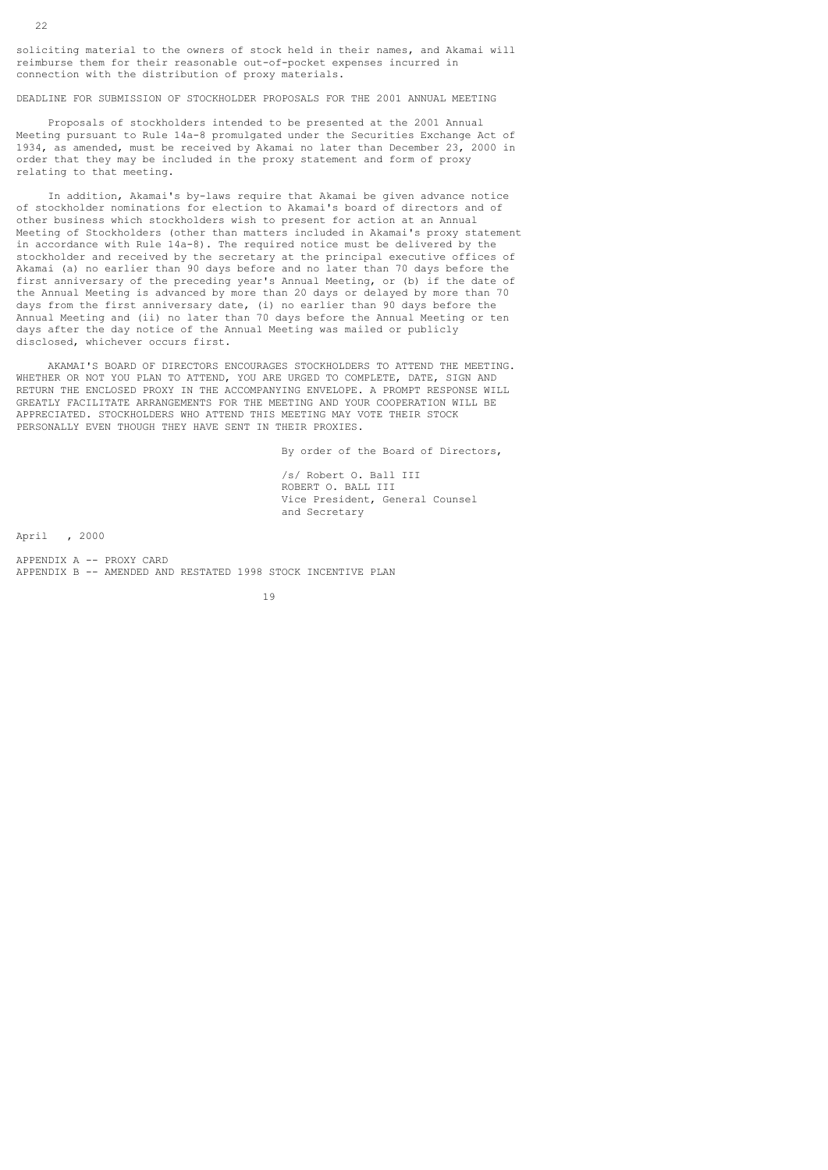soliciting material to the owners of stock held in their names, and Akamai will reimburse them for their reasonable out-of-pocket expenses incurred in connection with the distribution of proxy materials.

DEADLINE FOR SUBMISSION OF STOCKHOLDER PROPOSALS FOR THE 2001 ANNUAL MEETING

 Proposals of stockholders intended to be presented at the 2001 Annual Meeting pursuant to Rule 14a-8 promulgated under the Securities Exchange Act of 1934, as amended, must be received by Akamai no later than December 23, 2000 in order that they may be included in the proxy statement and form of proxy relating to that meeting.

 In addition, Akamai's by-laws require that Akamai be given advance notice of stockholder nominations for election to Akamai's board of directors and of other business which stockholders wish to present for action at an Annual Meeting of Stockholders (other than matters included in Akamai's proxy statement in accordance with Rule 14a-8). The required notice must be delivered by the stockholder and received by the secretary at the principal executive offices of Akamai (a) no earlier than 90 days before and no later than 70 days before the first anniversary of the preceding year's Annual Meeting, or (b) if the date of the Annual Meeting is advanced by more than 20 days or delayed by more than 70 days from the first anniversary date, (i) no earlier than 90 days before the Annual Meeting and (ii) no later than 70 days before the Annual Meeting or ten days after the day notice of the Annual Meeting was mailed or publicly disclosed, whichever occurs first.

 AKAMAI'S BOARD OF DIRECTORS ENCOURAGES STOCKHOLDERS TO ATTEND THE MEETING. WHETHER OR NOT YOU PLAN TO ATTEND, YOU ARE URGED TO COMPLETE, DATE, SIGN AND RETURN THE ENCLOSED PROXY IN THE ACCOMPANYING ENVELOPE. A PROMPT RESPONSE WILL GREATLY FACILITATE ARRANGEMENTS FOR THE MEETING AND YOUR COOPERATION WILL BE APPRECIATED. STOCKHOLDERS WHO ATTEND THIS MEETING MAY VOTE THEIR STOCK PERSONALLY EVEN THOUGH THEY HAVE SENT IN THEIR PROXIES.

By order of the Board of Directors,

 /s/ Robert O. Ball III ROBERT O. BALL III Vice President, General Counsel and Secretary

April , 2000

APPENDIX A -- PROXY CARD APPENDIX B -- AMENDED AND RESTATED 1998 STOCK INCENTIVE PLAN

19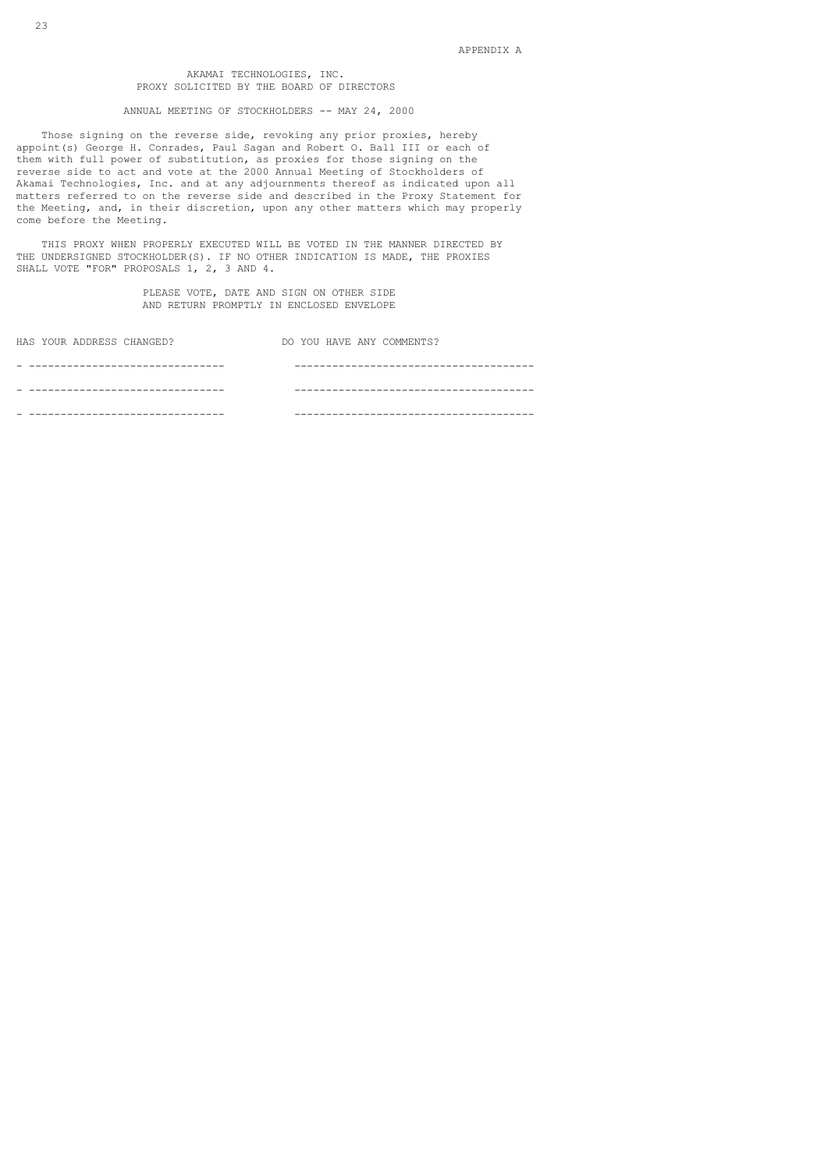# AKAMAI TECHNOLOGIES, INC. PROXY SOLICITED BY THE BOARD OF DIRECTORS

#### ANNUAL MEETING OF STOCKHOLDERS -- MAY 24, 2000

 Those signing on the reverse side, revoking any prior proxies, hereby appoint(s) George H. Conrades, Paul Sagan and Robert O. Ball III or each of them with full power of substitution, as proxies for those signing on the reverse side to act and vote at the 2000 Annual Meeting of Stockholders of Akamai Technologies, Inc. and at any adjournments thereof as indicated upon all matters referred to on the reverse side and described in the Proxy Statement for the Meeting, and, in their discretion, upon any other matters which may properly come before the Meeting.

 THIS PROXY WHEN PROPERLY EXECUTED WILL BE VOTED IN THE MANNER DIRECTED BY THE UNDERSIGNED STOCKHOLDER(S). IF NO OTHER INDICATION IS MADE, THE PROXIES SHALL VOTE "FOR" PROPOSALS 1, 2, 3 AND 4.

> PLEASE VOTE, DATE AND SIGN ON OTHER SIDE AND RETURN PROMPTLY IN ENCLOSED ENVELOPE

| HAS YOUR ADDRESS CHANGED? | DO YOU HAVE ANY COMMENTS? |
|---------------------------|---------------------------|
|                           |                           |
|                           |                           |
|                           |                           |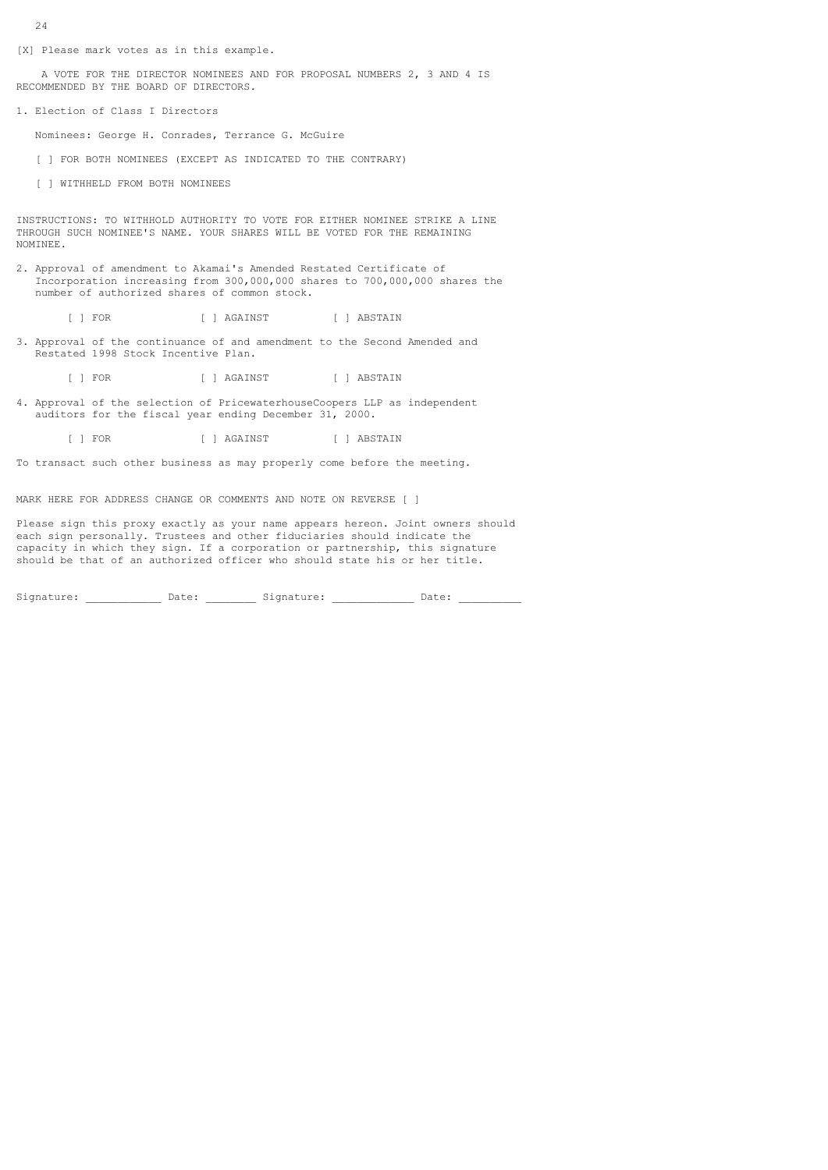- 24
- [X] Please mark votes as in this example.

 A VOTE FOR THE DIRECTOR NOMINEES AND FOR PROPOSAL NUMBERS 2, 3 AND 4 IS RECOMMENDED BY THE BOARD OF DIRECTORS.

1. Election of Class I Directors

Nominees: George H. Conrades, Terrance G. McGuire

[ ] FOR BOTH NOMINEES (EXCEPT AS INDICATED TO THE CONTRARY)

[ ] WITHHELD FROM BOTH NOMINEES

INSTRUCTIONS: TO WITHHOLD AUTHORITY TO VOTE FOR EITHER NOMINEE STRIKE A LINE THROUGH SUCH NOMINEE'S NAME. YOUR SHARES WILL BE VOTED FOR THE REMAINING NOMINEE.

2. Approval of amendment to Akamai's Amended Restated Certificate of Incorporation increasing from 300,000,000 shares to 700,000,000 shares the number of authorized shares of common stock.

[ ] FOR [ ] AGAINST [ ] ABSTAIN

3. Approval of the continuance of and amendment to the Second Amended and Restated 1998 Stock Incentive Plan.

[ ] FOR [ ] AGAINST [ ] ABSTAIN

4. Approval of the selection of PricewaterhouseCoopers LLP as independent auditors for the fiscal year ending December 31, 2000.

[ ] FOR [ ] AGAINST [ ] ABSTAIN

To transact such other business as may properly come before the meeting.

MARK HERE FOR ADDRESS CHANGE OR COMMENTS AND NOTE ON REVERSE [ ]

Please sign this proxy exactly as your name appears hereon. Joint owners should each sign personally. Trustees and other fiduciaries should indicate the capacity in which they sign. If a corporation or partnership, this signature should be that of an authorized officer who should state his or her title.

Signature: \_\_\_\_\_\_\_\_\_\_\_\_\_\_ Date: \_\_\_\_\_\_\_\_\_\_ Signature: \_\_\_\_\_\_\_\_\_\_\_\_\_\_\_\_ Date: \_\_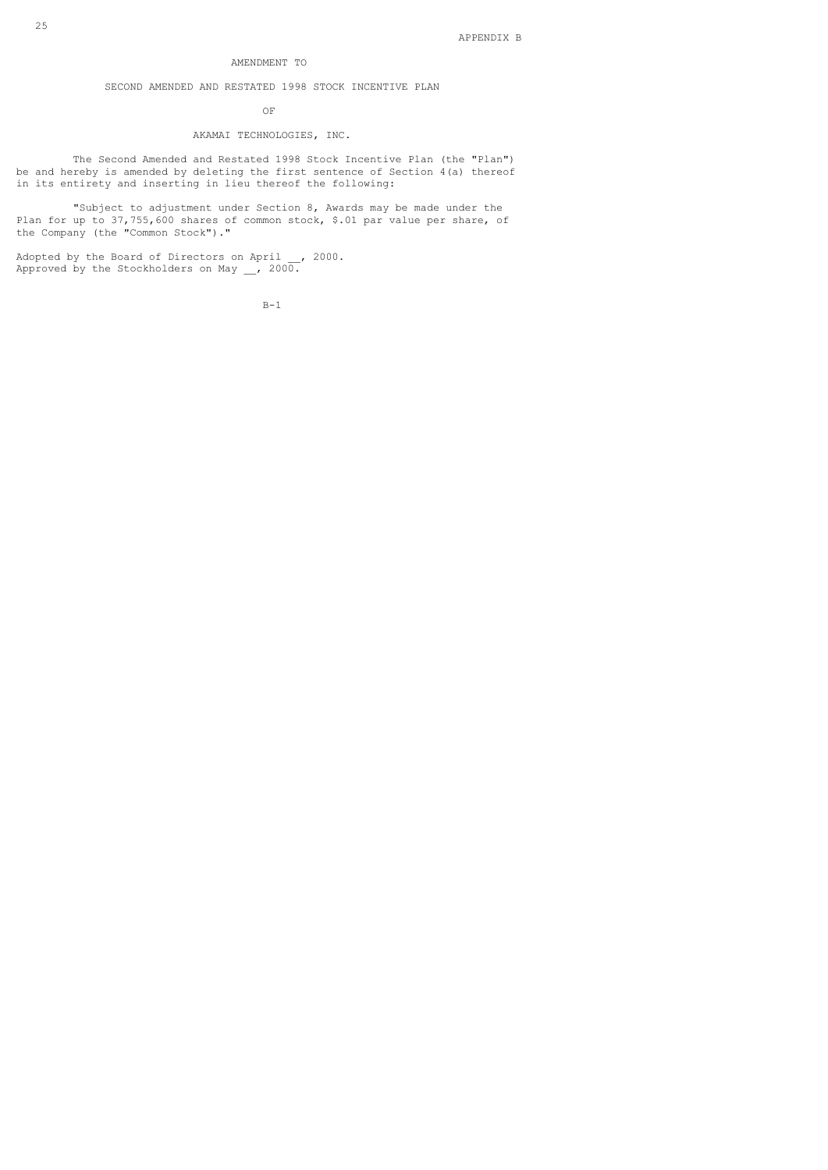# AMENDMENT TO

# SECOND AMENDED AND RESTATED 1998 STOCK INCENTIVE PLAN

### OF

# AKAMAI TECHNOLOGIES, INC.

 The Second Amended and Restated 1998 Stock Incentive Plan (the "Plan") be and hereby is amended by deleting the first sentence of Section 4(a) thereof in its entirety and inserting in lieu thereof the following:

 "Subject to adjustment under Section 8, Awards may be made under the Plan for up to 37,755,600 shares of common stock, \$.01 par value per share, of the Company (the "Common Stock")."

Adopted by the Board of Directors on April \_\_, 2000. Approved by the Stockholders on May \_\_, 2000.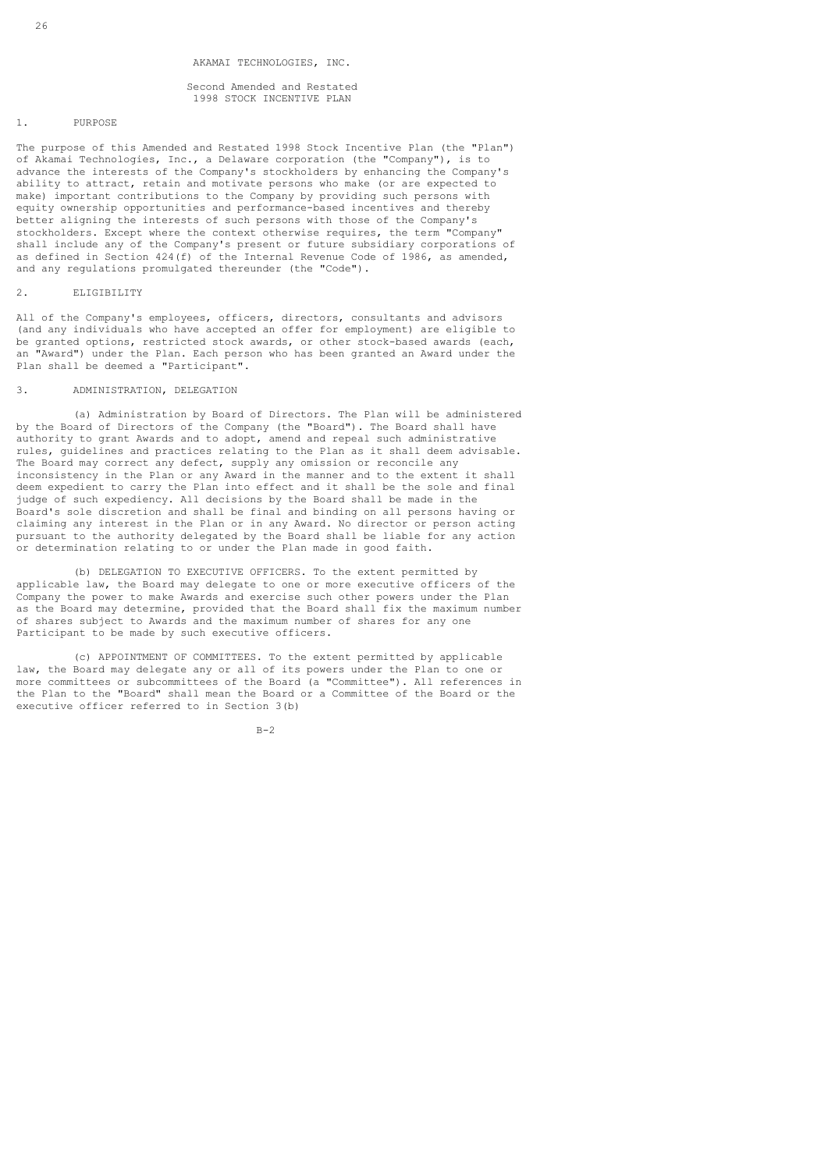Second Amended and Restated 1998 STOCK INCENTIVE PLAN

# 1. PURPOSE

The purpose of this Amended and Restated 1998 Stock Incentive Plan (the "Plan") of Akamai Technologies, Inc., a Delaware corporation (the "Company"), is to advance the interests of the Company's stockholders by enhancing the Company's ability to attract, retain and motivate persons who make (or are expected to make) important contributions to the Company by providing such persons with equity ownership opportunities and performance-based incentives and thereby better aligning the interests of such persons with those of the Company's stockholders. Except where the context otherwise requires, the term "Company" shall include any of the Company's present or future subsidiary corporations of as defined in Section  $424(f)$  of the Internal Revenue Code of 1986, as amended, and any regulations promulgated thereunder (the "Code").

#### 2. ELIGIBILITY

All of the Company's employees, officers, directors, consultants and advisors (and any individuals who have accepted an offer for employment) are eligible to be granted options, restricted stock awards, or other stock-based awards (each, an "Award") under the Plan. Each person who has been granted an Award under the Plan shall be deemed a "Participant".

# 3. ADMINISTRATION, DELEGATION

 (a) Administration by Board of Directors. The Plan will be administered by the Board of Directors of the Company (the "Board"). The Board shall have authority to grant Awards and to adopt, amend and repeal such administrative rules, guidelines and practices relating to the Plan as it shall deem advisable. The Board may correct any defect, supply any omission or reconcile any inconsistency in the Plan or any Award in the manner and to the extent it shall deem expedient to carry the Plan into effect and it shall be the sole and final judge of such expediency. All decisions by the Board shall be made in the Board's sole discretion and shall be final and binding on all persons having or claiming any interest in the Plan or in any Award. No director or person acting pursuant to the authority delegated by the Board shall be liable for any action or determination relating to or under the Plan made in good faith.

 (b) DELEGATION TO EXECUTIVE OFFICERS. To the extent permitted by applicable law, the Board may delegate to one or more executive officers of the Company the power to make Awards and exercise such other powers under the Plan as the Board may determine, provided that the Board shall fix the maximum number of shares subject to Awards and the maximum number of shares for any one Participant to be made by such executive officers.

 (c) APPOINTMENT OF COMMITTEES. To the extent permitted by applicable law, the Board may delegate any or all of its powers under the Plan to one or more committees or subcommittees of the Board (a "Committee"). All references in the Plan to the "Board" shall mean the Board or a Committee of the Board or the executive officer referred to in Section 3(b)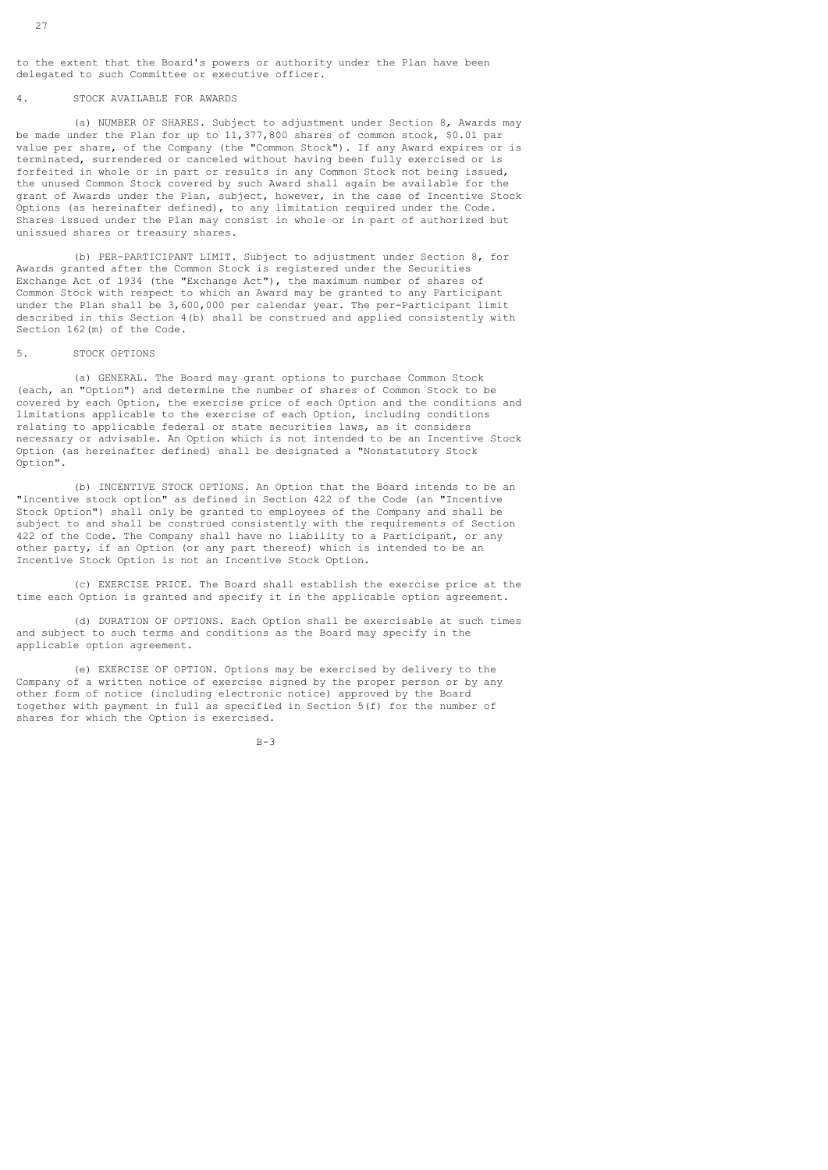to the extent that the Board's powers or authority under the Plan have been delegated to such Committee or executive officer.

# 4. STOCK AVAILABLE FOR AWARDS

 (a) NUMBER OF SHARES. Subject to adjustment under Section 8, Awards may be made under the Plan for up to 11,377,800 shares of common stock, \$0.01 par value per share, of the Company (the "Common Stock"). If any Award expires or is terminated, surrendered or canceled without having been fully exercised or is forfeited in whole or in part or results in any Common Stock not being issued, the unused Common Stock covered by such Award shall again be available for the grant of Awards under the Plan, subject, however, in the case of Incentive Stock Options (as hereinafter defined), to any limitation required under the Code. Shares issued under the Plan may consist in whole or in part of authorized but unissued shares or treasury shares.

 (b) PER-PARTICIPANT LIMIT. Subject to adjustment under Section 8, for Awards granted after the Common Stock is registered under the Securities Exchange Act of 1934 (the "Exchange Act"), the maximum number of shares of Common Stock with respect to which an Award may be granted to any Participant under the Plan shall be 3,600,000 per calendar year. The per-Participant limit described in this Section 4(b) shall be construed and applied consistently with Section 162(m) of the Code.

#### 5. STOCK OPTIONS

 (a) GENERAL. The Board may grant options to purchase Common Stock (each, an "Option") and determine the number of shares of Common Stock to be covered by each Option, the exercise price of each Option and the conditions and limitations applicable to the exercise of each Option, including conditions relating to applicable federal or state securities laws, as it considers necessary or advisable. An Option which is not intended to be an Incentive Stock Option (as hereinafter defined) shall be designated a "Nonstatutory Stock Option".

 (b) INCENTIVE STOCK OPTIONS. An Option that the Board intends to be an "incentive stock option" as defined in Section 422 of the Code (an "Incentive Stock Option") shall only be granted to employees of the Company and shall be subject to and shall be construed consistently with the requirements of Section 422 of the Code. The Company shall have no liability to a Participant, or any other party, if an Option (or any part thereof) which is intended to be an Incentive Stock Option is not an Incentive Stock Option.

 (c) EXERCISE PRICE. The Board shall establish the exercise price at the time each Option is granted and specify it in the applicable option agreement.

 (d) DURATION OF OPTIONS. Each Option shall be exercisable at such times and subject to such terms and conditions as the Board may specify in the applicable option agreement.

 (e) EXERCISE OF OPTION. Options may be exercised by delivery to the Company of a written notice of exercise signed by the proper person or by any other form of notice (including electronic notice) approved by the Board together with payment in full as specified in Section 5(f) for the number of shares for which the Option is exercised.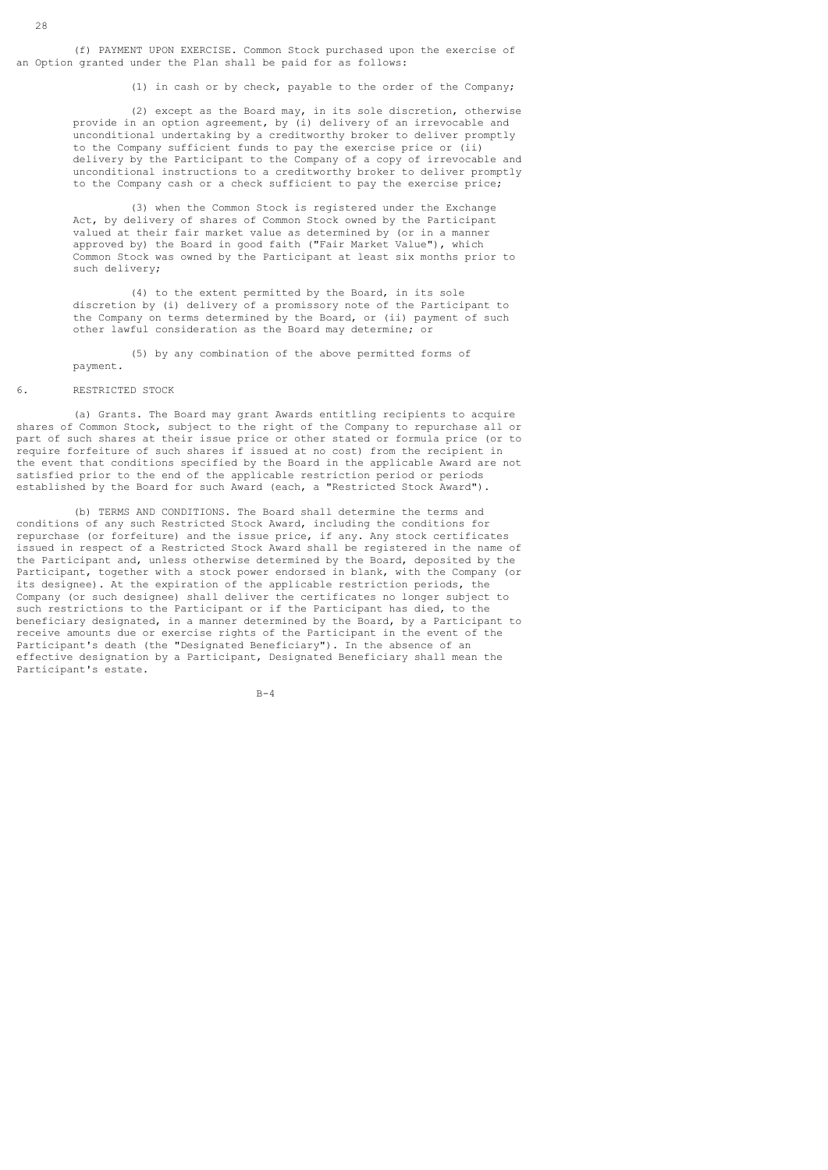(f) PAYMENT UPON EXERCISE. Common Stock purchased upon the exercise of an Option granted under the Plan shall be paid for as follows:

(1) in cash or by check, payable to the order of the Company;

 (2) except as the Board may, in its sole discretion, otherwise provide in an option agreement, by (i) delivery of an irrevocable and unconditional undertaking by a creditworthy broker to deliver promptly to the Company sufficient funds to pay the exercise price or (ii) delivery by the Participant to the Company of a copy of irrevocable and unconditional instructions to a creditworthy broker to deliver promptly to the Company cash or a check sufficient to pay the exercise price;

 (3) when the Common Stock is registered under the Exchange Act, by delivery of shares of Common Stock owned by the Participant valued at their fair market value as determined by (or in a manner approved by) the Board in good faith ("Fair Market Value"), which Common Stock was owned by the Participant at least six months prior to such delivery;

 (4) to the extent permitted by the Board, in its sole discretion by (i) delivery of a promissory note of the Participant to the Company on terms determined by the Board, or (ii) payment of such other lawful consideration as the Board may determine; or

 (5) by any combination of the above permitted forms of payment.

### 6. RESTRICTED STOCK

 (a) Grants. The Board may grant Awards entitling recipients to acquire shares of Common Stock, subject to the right of the Company to repurchase all or part of such shares at their issue price or other stated or formula price (or to require forfeiture of such shares if issued at no cost) from the recipient in the event that conditions specified by the Board in the applicable Award are not satisfied prior to the end of the applicable restriction period or periods established by the Board for such Award (each, a "Restricted Stock Award").

 (b) TERMS AND CONDITIONS. The Board shall determine the terms and conditions of any such Restricted Stock Award, including the conditions for repurchase (or forfeiture) and the issue price, if any. Any stock certificates issued in respect of a Restricted Stock Award shall be registered in the name of the Participant and, unless otherwise determined by the Board, deposited by the Participant, together with a stock power endorsed in blank, with the Company (or its designee). At the expiration of the applicable restriction periods, the Company (or such designee) shall deliver the certificates no longer subject to such restrictions to the Participant or if the Participant has died, to the beneficiary designated, in a manner determined by the Board, by a Participant to receive amounts due or exercise rights of the Participant in the event of the Participant's death (the "Designated Beneficiary"). In the absence of an effective designation by a Participant, Designated Beneficiary shall mean the Participant's estate.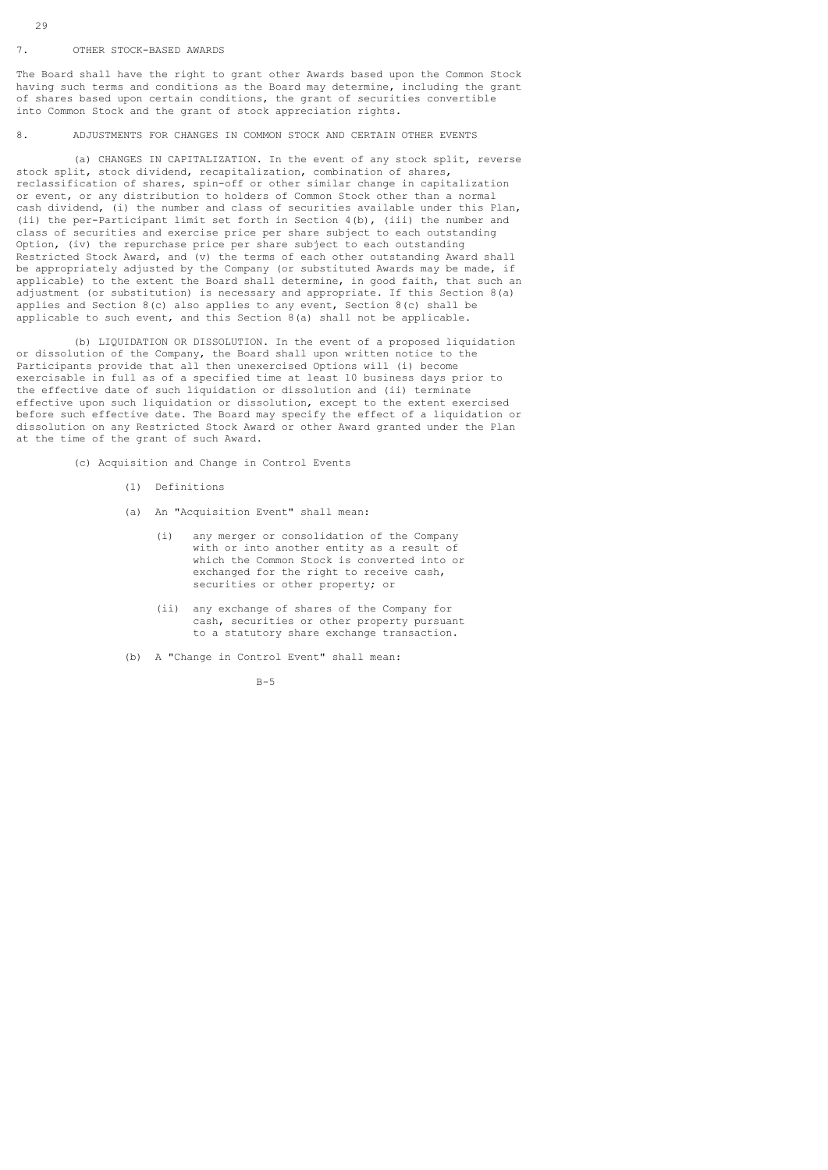### 7. OTHER STOCK-BASED AWARDS

The Board shall have the right to grant other Awards based upon the Common Stock having such terms and conditions as the Board may determine, including the grant of shares based upon certain conditions, the grant of securities convertible into Common Stock and the grant of stock appreciation rights.

# 8. ADJUSTMENTS FOR CHANGES IN COMMON STOCK AND CERTAIN OTHER EVENTS

 (a) CHANGES IN CAPITALIZATION. In the event of any stock split, reverse stock split, stock dividend, recapitalization, combination of shares, reclassification of shares, spin-off or other similar change in capitalization or event, or any distribution to holders of Common Stock other than a normal cash dividend, (i) the number and class of securities available under this Plan, (ii) the per-Participant limit set forth in Section 4(b), (iii) the number and class of securities and exercise price per share subject to each outstanding Option, (iv) the repurchase price per share subject to each outstanding Restricted Stock Award, and (v) the terms of each other outstanding Award shall be appropriately adjusted by the Company (or substituted Awards may be made, if applicable) to the extent the Board shall determine, in good faith, that such an adjustment (or substitution) is necessary and appropriate. If this Section 8(a) applies and Section 8(c) also applies to any event, Section 8(c) shall be applicable to such event, and this Section 8(a) shall not be applicable.

 (b) LIQUIDATION OR DISSOLUTION. In the event of a proposed liquidation or dissolution of the Company, the Board shall upon written notice to the Participants provide that all then unexercised Options will (i) become exercisable in full as of a specified time at least 10 business days prior to the effective date of such liquidation or dissolution and (ii) terminate effective upon such liquidation or dissolution, except to the extent exercised before such effective date. The Board may specify the effect of a liquidation or dissolution on any Restricted Stock Award or other Award granted under the Plan at the time of the grant of such Award.

(c) Acquisition and Change in Control Events

- (1) Definitions
- (a) An "Acquisition Event" shall mean:
	- (i) any merger or consolidation of the Company with or into another entity as a result of which the Common Stock is converted into or exchanged for the right to receive cash, securities or other property; or
	- (ii) any exchange of shares of the Company for cash, securities or other property pursuant to a statutory share exchange transaction.
- (b) A "Change in Control Event" shall mean: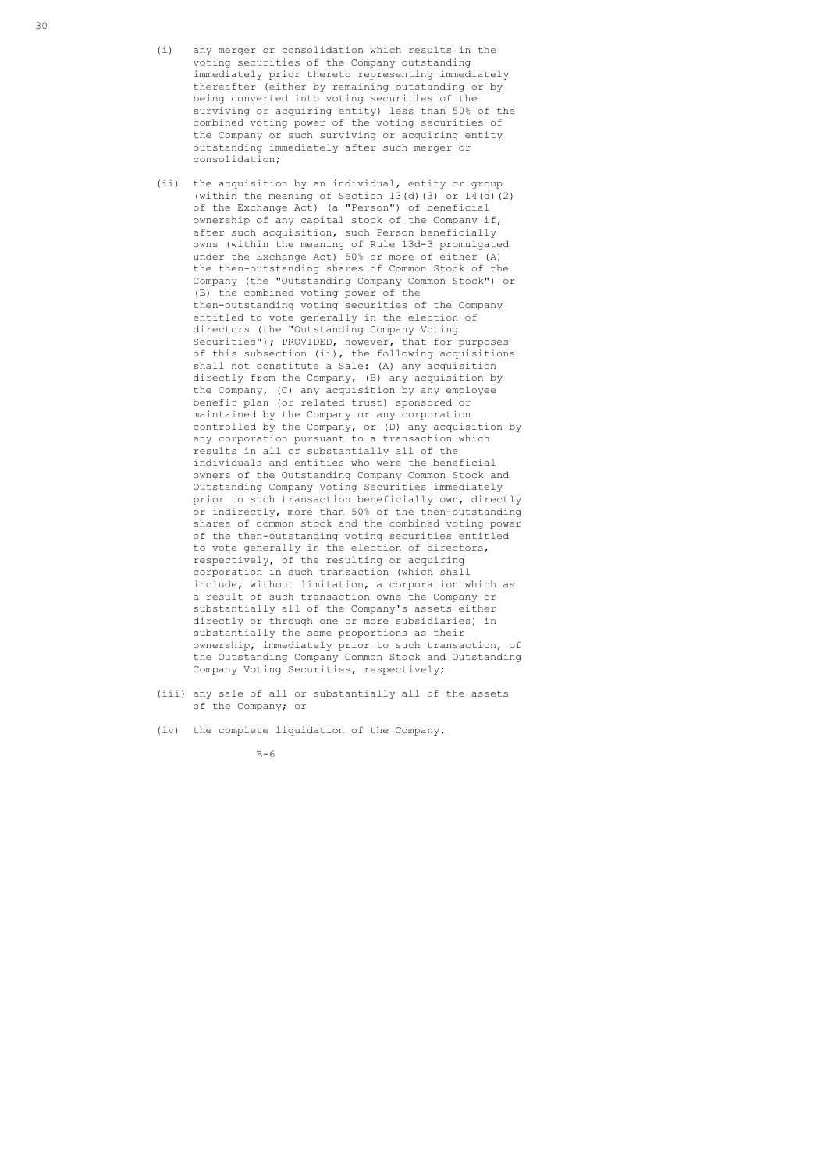- (i) any merger or consolidation which results in the voting securities of the Company outstanding immediately prior thereto representing immediately thereafter (either by remaining outstanding or by being converted into voting securities of the surviving or acquiring entity) less than 50% of the combined voting power of the voting securities of the Company or such surviving or acquiring entity outstanding immediately after such merger or consolidation;
- (ii) the acquisition by an individual, entity or group (within the meaning of Section 13(d)(3) or  $14(d)(2)$  of the Exchange Act) (a "Person") of beneficial ownership of any capital stock of the Company if, after such acquisition, such Person beneficially owns (within the meaning of Rule 13d-3 promulgated under the Exchange Act) 50% or more of either (A) the then-outstanding shares of Common Stock of the Company (the "Outstanding Company Common Stock") or (B) the combined voting power of the then-outstanding voting securities of the Company entitled to vote generally in the election of directors (the "Outstanding Company Voting") Securities"); PROVIDED, however, that for purposes of this subsection (ii), the following acquisitions shall not constitute a Sale: (A) any acquisition directly from the Company, (B) any acquisition by the Company, (C) any acquisition by any employee benefit plan (or related trust) sponsored or maintained by the Company or any corporation controlled by the Company, or (D) any acquisition by any corporation pursuant to a transaction which results in all or substantially all of the individuals and entities who were the beneficial owners of the Outstanding Company Common Stock and Outstanding Company Voting Securities immediately prior to such transaction beneficially own, directly or indirectly, more than 50% of the then-outstanding shares of common stock and the combined voting power of the then-outstanding voting securities entitled to vote generally in the election of directors, respectively, of the resulting or acquiring corporation in such transaction (which shall include, without limitation, a corporation which as a result of such transaction owns the Company or substantially all of the Company's assets either directly or through one or more subsidiaries) in substantially the same proportions as their ownership, immediately prior to such transaction, of the Outstanding Company Common Stock and Outstanding Company Voting Securities, respectively;
- (iii) any sale of all or substantially all of the assets of the Company; or
- (iv) the complete liquidation of the Company.
- $B-6$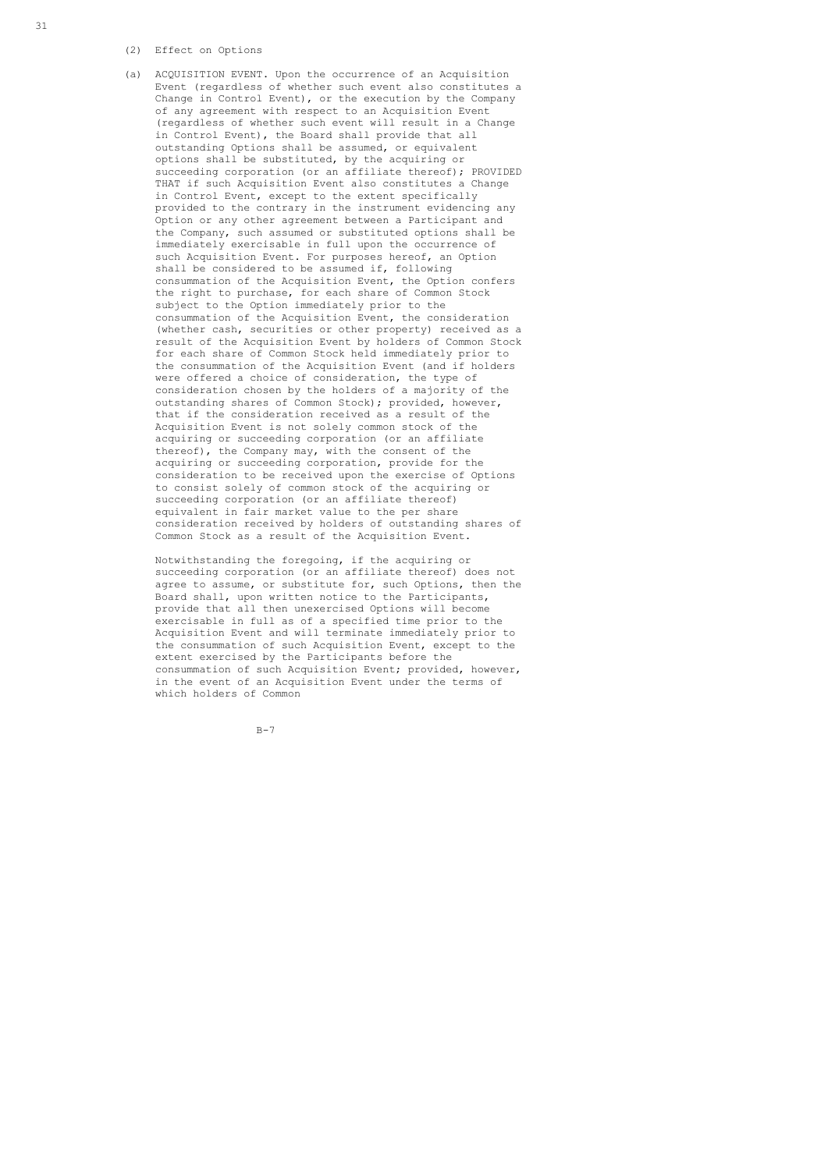(2) Effect on Options

 (a) ACQUISITION EVENT. Upon the occurrence of an Acquisition Event (regardless of whether such event also constitutes a Change in Control Event), or the execution by the Company of any agreement with respect to an Acquisition Event (regardless of whether such event will result in a Change in Control Event), the Board shall provide that all outstanding Options shall be assumed, or equivalent options shall be substituted, by the acquiring or succeeding corporation (or an affiliate thereof); PROVIDED THAT if such Acquisition Event also constitutes a Change in Control Event, except to the extent specifically provided to the contrary in the instrument evidencing any Option or any other agreement between a Participant and the Company, such assumed or substituted options shall be immediately exercisable in full upon the occurrence of such Acquisition Event. For purposes hereof, an Option shall be considered to be assumed if, following consummation of the Acquisition Event, the Option confers the right to purchase, for each share of Common Stock subject to the Option immediately prior to the consummation of the Acquisition Event, the consideration (whether cash, securities or other property) received as a result of the Acquisition Event by holders of Common Stock for each share of Common Stock held immediately prior to the consummation of the Acquisition Event (and if holders were offered a choice of consideration, the type of consideration chosen by the holders of a majority of the outstanding shares of Common Stock); provided, however, that if the consideration received as a result of the Acquisition Event is not solely common stock of the acquiring or succeeding corporation (or an affiliate thereof), the Company may, with the consent of the acquiring or succeeding corporation, provide for the consideration to be received upon the exercise of Options to consist solely of common stock of the acquiring or succeeding corporation (or an affiliate thereof) equivalent in fair market value to the per share consideration received by holders of outstanding shares of Common Stock as a result of the Acquisition Event.

 Notwithstanding the foregoing, if the acquiring or succeeding corporation (or an affiliate thereof) does not agree to assume, or substitute for, such Options, then the Board shall, upon written notice to the Participants, provide that all then unexercised Options will become exercisable in full as of a specified time prior to the Acquisition Event and will terminate immediately prior to the consummation of such Acquisition Event, except to the extent exercised by the Participants before the consummation of such Acquisition Event; provided, however, in the event of an Acquisition Event under the terms of which holders of Common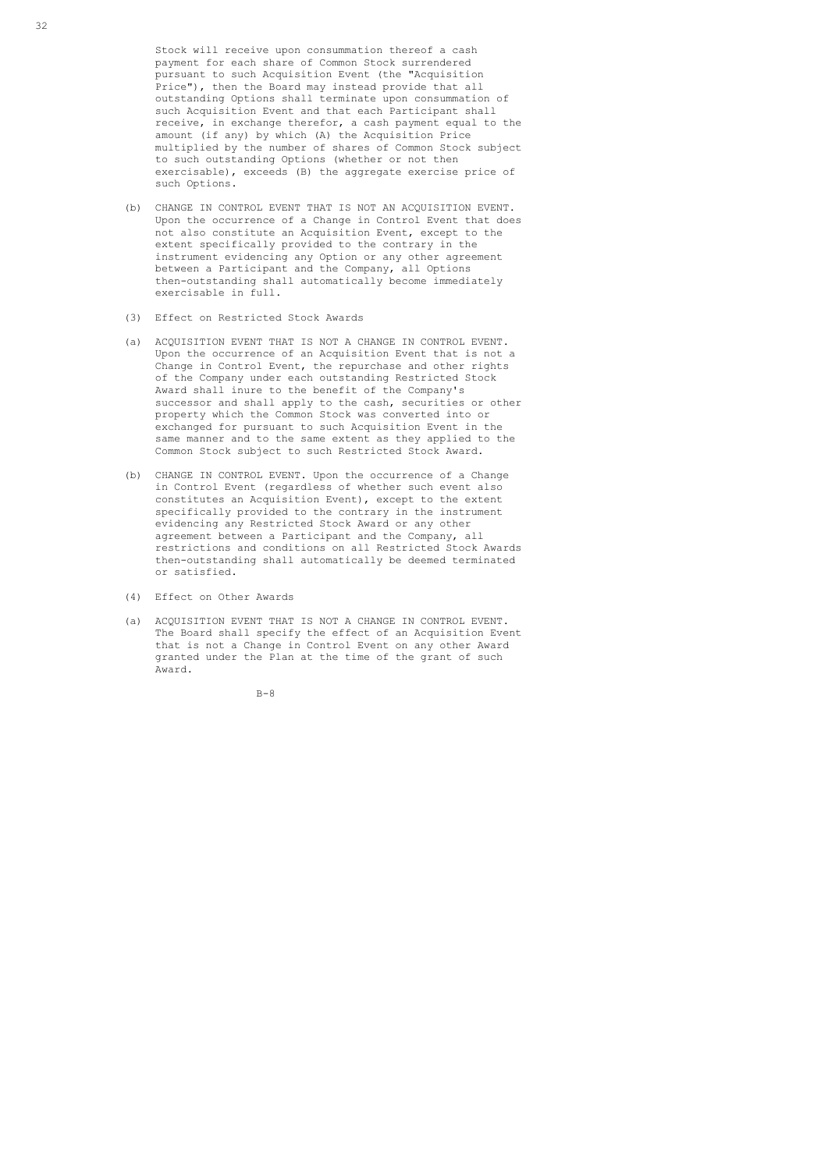Stock will receive upon consummation thereof a cash payment for each share of Common Stock surrendered pursuant to such Acquisition Event (the "Acquisition Price"), then the Board may instead provide that all outstanding Options shall terminate upon consummation of such Acquisition Event and that each Participant shall receive, in exchange therefor, a cash payment equal to the amount (if any) by which (A) the Acquisition Price multiplied by the number of shares of Common Stock subject to such outstanding Options (whether or not then exercisable), exceeds (B) the aggregate exercise price of such Options.

- (b) CHANGE IN CONTROL EVENT THAT IS NOT AN ACQUISITION EVENT. Upon the occurrence of a Change in Control Event that does not also constitute an Acquisition Event, except to the extent specifically provided to the contrary in the instrument evidencing any Option or any other agreement between a Participant and the Company, all Options then-outstanding shall automatically become immediately exercisable in full.
- (3) Effect on Restricted Stock Awards
- (a) ACQUISITION EVENT THAT IS NOT A CHANGE IN CONTROL EVENT. Upon the occurrence of an Acquisition Event that is not a Change in Control Event, the repurchase and other rights of the Company under each outstanding Restricted Stock Award shall inure to the benefit of the Company's successor and shall apply to the cash, securities or other property which the Common Stock was converted into or exchanged for pursuant to such Acquisition Event in the same manner and to the same extent as they applied to the Common Stock subject to such Restricted Stock Award.
- (b) CHANGE IN CONTROL EVENT. Upon the occurrence of a Change in Control Event (regardless of whether such event also constitutes an Acquisition Event), except to the extent specifically provided to the contrary in the instrument evidencing any Restricted Stock Award or any other agreement between a Participant and the Company, all restrictions and conditions on all Restricted Stock Awards then-outstanding shall automatically be deemed terminated or satisfied.
- (4) Effect on Other Awards
- (a) ACQUISITION EVENT THAT IS NOT A CHANGE IN CONTROL EVENT. The Board shall specify the effect of an Acquisition Event that is not a Change in Control Event on any other Award granted under the Plan at the time of the grant of such Award.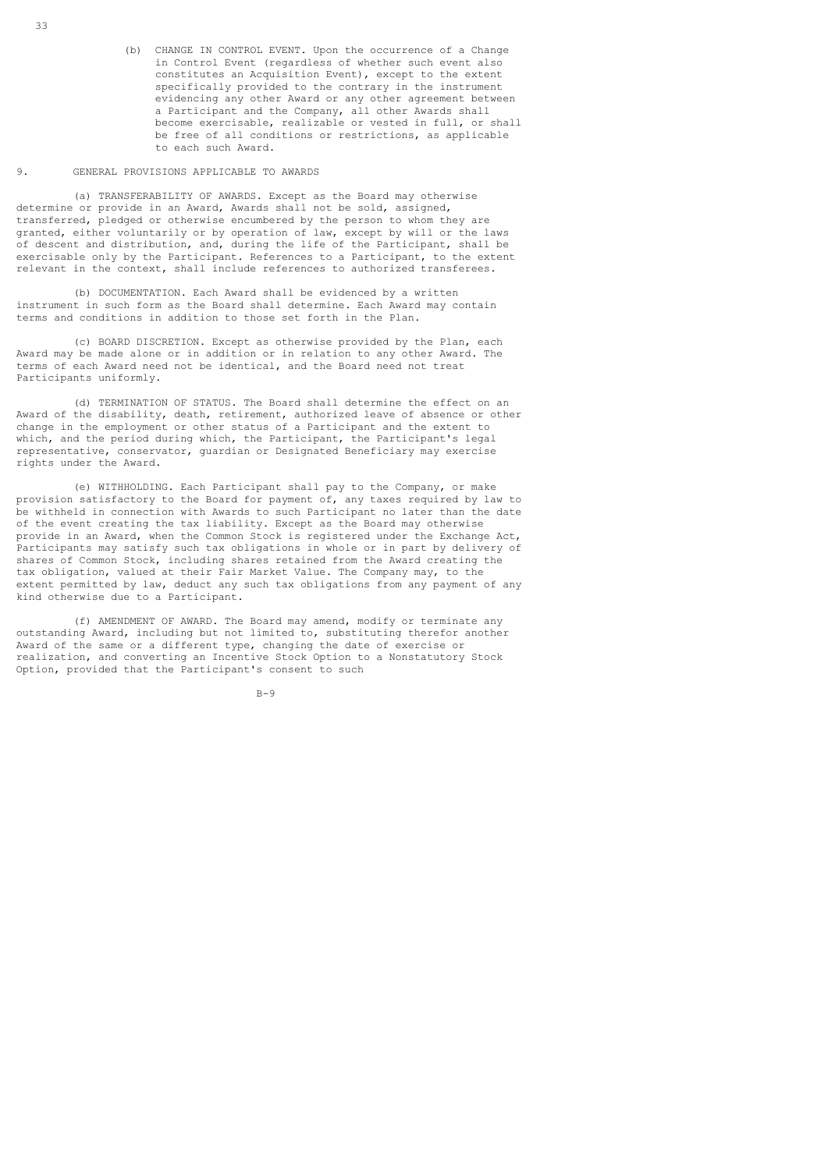(b) CHANGE IN CONTROL EVENT. Upon the occurrence of a Change in Control Event (regardless of whether such event also constitutes an Acquisition Event), except to the extent specifically provided to the contrary in the instrument evidencing any other Award or any other agreement between a Participant and the Company, all other Awards shall become exercisable, realizable or vested in full, or shall be free of all conditions or restrictions, as applicable to each such Award.

## 9. GENERAL PROVISIONS APPLICABLE TO AWARDS

 (a) TRANSFERABILITY OF AWARDS. Except as the Board may otherwise determine or provide in an Award, Awards shall not be sold, assigned, transferred, pledged or otherwise encumbered by the person to whom they are granted, either voluntarily or by operation of law, except by will or the laws of descent and distribution, and, during the life of the Participant, shall be exercisable only by the Participant. References to a Participant, to the extent relevant in the context, shall include references to authorized transferees.

 (b) DOCUMENTATION. Each Award shall be evidenced by a written instrument in such form as the Board shall determine. Each Award may contain terms and conditions in addition to those set forth in the Plan.

 (c) BOARD DISCRETION. Except as otherwise provided by the Plan, each Award may be made alone or in addition or in relation to any other Award. The terms of each Award need not be identical, and the Board need not treat Participants uniformly.

 (d) TERMINATION OF STATUS. The Board shall determine the effect on an Award of the disability, death, retirement, authorized leave of absence or other change in the employment or other status of a Participant and the extent to which, and the period during which, the Participant, the Participant's legal representative, conservator, guardian or Designated Beneficiary may exercise rights under the Award.

 (e) WITHHOLDING. Each Participant shall pay to the Company, or make provision satisfactory to the Board for payment of, any taxes required by law to be withheld in connection with Awards to such Participant no later than the date of the event creating the tax liability. Except as the Board may otherwise provide in an Award, when the Common Stock is registered under the Exchange Act, Participants may satisfy such tax obligations in whole or in part by delivery of shares of Common Stock, including shares retained from the Award creating the tax obligation, valued at their Fair Market Value. The Company may, to the extent permitted by law, deduct any such tax obligations from any payment of any kind otherwise due to a Participant.

 (f) AMENDMENT OF AWARD. The Board may amend, modify or terminate any outstanding Award, including but not limited to, substituting therefor another Award of the same or a different type, changing the date of exercise or realization, and converting an Incentive Stock Option to a Nonstatutory Stock Option, provided that the Participant's consent to such

33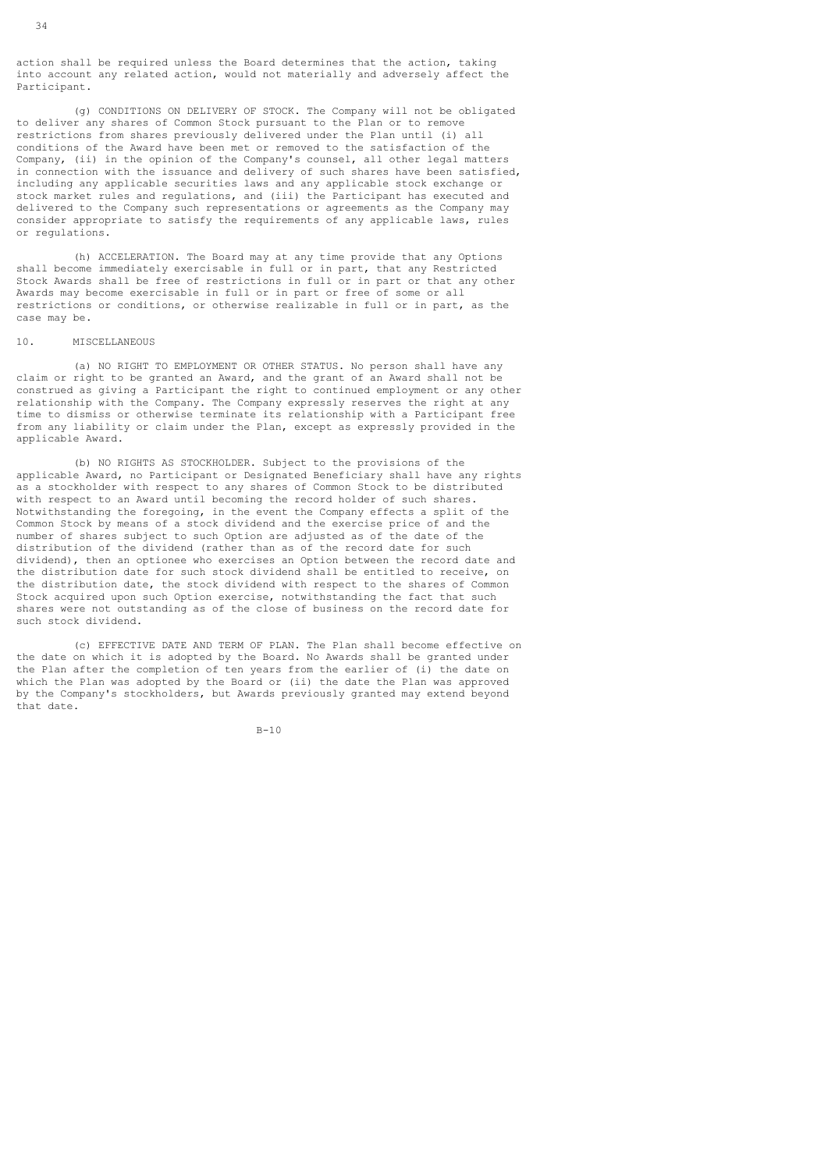action shall be required unless the Board determines that the action, taking into account any related action, would not materially and adversely affect the Participant.

 (g) CONDITIONS ON DELIVERY OF STOCK. The Company will not be obligated to deliver any shares of Common Stock pursuant to the Plan or to remove restrictions from shares previously delivered under the Plan until (i) all conditions of the Award have been met or removed to the satisfaction of the Company, (ii) in the opinion of the Company's counsel, all other legal matters in connection with the issuance and delivery of such shares have been satisfied, including any applicable securities laws and any applicable stock exchange or stock market rules and regulations, and (iii) the Participant has executed and delivered to the Company such representations or agreements as the Company may consider appropriate to satisfy the requirements of any applicable laws, rules or regulations.

 (h) ACCELERATION. The Board may at any time provide that any Options shall become immediately exercisable in full or in part, that any Restricted Stock Awards shall be free of restrictions in full or in part or that any other Awards may become exercisable in full or in part or free of some or all restrictions or conditions, or otherwise realizable in full or in part, as the case may be.

#### 10. MISCELLANEOUS

 (a) NO RIGHT TO EMPLOYMENT OR OTHER STATUS. No person shall have any claim or right to be granted an Award, and the grant of an Award shall not be construed as giving a Participant the right to continued employment or any other relationship with the Company. The Company expressly reserves the right at any time to dismiss or otherwise terminate its relationship with a Participant free from any liability or claim under the Plan, except as expressly provided in the applicable Award.

 (b) NO RIGHTS AS STOCKHOLDER. Subject to the provisions of the applicable Award, no Participant or Designated Beneficiary shall have any rights as a stockholder with respect to any shares of Common Stock to be distributed with respect to an Award until becoming the record holder of such shares. Notwithstanding the foregoing, in the event the Company effects a split of the Common Stock by means of a stock dividend and the exercise price of and the number of shares subject to such Option are adjusted as of the date of the distribution of the dividend (rather than as of the record date for such dividend), then an optionee who exercises an Option between the record date and the distribution date for such stock dividend shall be entitled to receive, on the distribution date, the stock dividend with respect to the shares of Common Stock acquired upon such Option exercise, notwithstanding the fact that such shares were not outstanding as of the close of business on the record date for such stock dividend.

 (c) EFFECTIVE DATE AND TERM OF PLAN. The Plan shall become effective on the date on which it is adopted by the Board. No Awards shall be granted under the Plan after the completion of ten years from the earlier of (i) the date on which the Plan was adopted by the Board or (ii) the date the Plan was approved by the Company's stockholders, but Awards previously granted may extend beyond that date.